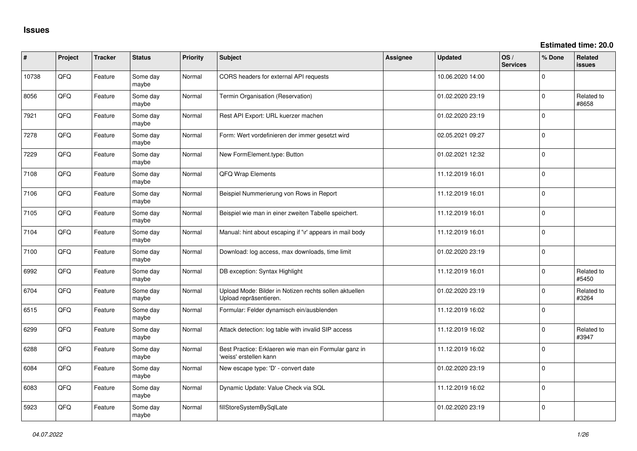**Estimated time: 20.0**

| #     | Project | <b>Tracker</b> | <b>Status</b>     | Priority | <b>Subject</b>                                                                   | <b>Assignee</b> | <b>Updated</b>   | OS/<br><b>Services</b> | % Done      | Related<br><b>issues</b> |
|-------|---------|----------------|-------------------|----------|----------------------------------------------------------------------------------|-----------------|------------------|------------------------|-------------|--------------------------|
| 10738 | QFQ     | Feature        | Some day<br>maybe | Normal   | CORS headers for external API requests                                           |                 | 10.06.2020 14:00 |                        | $\Omega$    |                          |
| 8056  | QFQ     | Feature        | Some day<br>maybe | Normal   | Termin Organisation (Reservation)                                                |                 | 01.02.2020 23:19 |                        | $\Omega$    | Related to<br>#8658      |
| 7921  | QFQ     | Feature        | Some day<br>maybe | Normal   | Rest API Export: URL kuerzer machen                                              |                 | 01.02.2020 23:19 |                        | $\Omega$    |                          |
| 7278  | QFQ     | Feature        | Some day<br>maybe | Normal   | Form: Wert vordefinieren der immer gesetzt wird                                  |                 | 02.05.2021 09:27 |                        | $\pmb{0}$   |                          |
| 7229  | QFQ     | Feature        | Some day<br>maybe | Normal   | New FormElement.type: Button                                                     |                 | 01.02.2021 12:32 |                        | $\mathbf 0$ |                          |
| 7108  | QFQ     | Feature        | Some day<br>maybe | Normal   | QFQ Wrap Elements                                                                |                 | 11.12.2019 16:01 |                        | $\mathbf 0$ |                          |
| 7106  | QFQ     | Feature        | Some day<br>maybe | Normal   | Beispiel Nummerierung von Rows in Report                                         |                 | 11.12.2019 16:01 |                        | $\mathbf 0$ |                          |
| 7105  | QFQ     | Feature        | Some day<br>maybe | Normal   | Beispiel wie man in einer zweiten Tabelle speichert.                             |                 | 11.12.2019 16:01 |                        | $\mathbf 0$ |                          |
| 7104  | QFQ     | Feature        | Some day<br>maybe | Normal   | Manual: hint about escaping if '\r' appears in mail body                         |                 | 11.12.2019 16:01 |                        | $\mathbf 0$ |                          |
| 7100  | QFQ     | Feature        | Some day<br>maybe | Normal   | Download: log access, max downloads, time limit                                  |                 | 01.02.2020 23:19 |                        | $\mathbf 0$ |                          |
| 6992  | QFQ     | Feature        | Some day<br>maybe | Normal   | DB exception: Syntax Highlight                                                   |                 | 11.12.2019 16:01 |                        | $\mathbf 0$ | Related to<br>#5450      |
| 6704  | QFQ     | Feature        | Some day<br>maybe | Normal   | Upload Mode: Bilder in Notizen rechts sollen aktuellen<br>Upload repräsentieren. |                 | 01.02.2020 23:19 |                        | $\mathbf 0$ | Related to<br>#3264      |
| 6515  | QFQ     | Feature        | Some day<br>maybe | Normal   | Formular: Felder dynamisch ein/ausblenden                                        |                 | 11.12.2019 16:02 |                        | $\mathbf 0$ |                          |
| 6299  | QFQ     | Feature        | Some day<br>maybe | Normal   | Attack detection: log table with invalid SIP access                              |                 | 11.12.2019 16:02 |                        | $\mathbf 0$ | Related to<br>#3947      |
| 6288  | QFQ     | Feature        | Some day<br>maybe | Normal   | Best Practice: Erklaeren wie man ein Formular ganz in<br>'weiss' erstellen kann  |                 | 11.12.2019 16:02 |                        | $\mathbf 0$ |                          |
| 6084  | QFQ     | Feature        | Some day<br>maybe | Normal   | New escape type: 'D' - convert date                                              |                 | 01.02.2020 23:19 |                        | $\mathbf 0$ |                          |
| 6083  | QFQ     | Feature        | Some day<br>maybe | Normal   | Dynamic Update: Value Check via SQL                                              |                 | 11.12.2019 16:02 |                        | $\pmb{0}$   |                          |
| 5923  | QFQ     | Feature        | Some day<br>maybe | Normal   | fillStoreSystemBySqlLate                                                         |                 | 01.02.2020 23:19 |                        | $\mathbf 0$ |                          |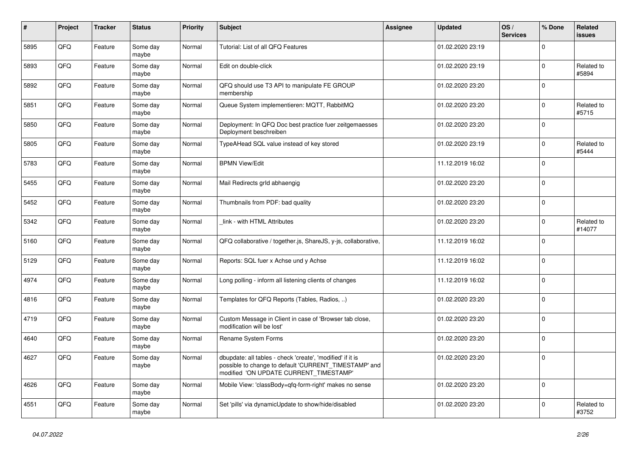| $\pmb{\sharp}$ | Project | <b>Tracker</b> | <b>Status</b>     | <b>Priority</b> | Subject                                                                                                                                                       | Assignee | <b>Updated</b>   | OS/<br><b>Services</b> | % Done      | Related<br>issues    |
|----------------|---------|----------------|-------------------|-----------------|---------------------------------------------------------------------------------------------------------------------------------------------------------------|----------|------------------|------------------------|-------------|----------------------|
| 5895           | QFQ     | Feature        | Some day<br>maybe | Normal          | Tutorial: List of all QFQ Features                                                                                                                            |          | 01.02.2020 23:19 |                        | $\Omega$    |                      |
| 5893           | QFQ     | Feature        | Some day<br>maybe | Normal          | Edit on double-click                                                                                                                                          |          | 01.02.2020 23:19 |                        | $\pmb{0}$   | Related to<br>#5894  |
| 5892           | QFQ     | Feature        | Some day<br>maybe | Normal          | QFQ should use T3 API to manipulate FE GROUP<br>membership                                                                                                    |          | 01.02.2020 23:20 |                        | $\Omega$    |                      |
| 5851           | QFQ     | Feature        | Some day<br>maybe | Normal          | Queue System implementieren: MQTT, RabbitMQ                                                                                                                   |          | 01.02.2020 23:20 |                        | $\Omega$    | Related to<br>#5715  |
| 5850           | QFQ     | Feature        | Some day<br>maybe | Normal          | Deployment: In QFQ Doc best practice fuer zeitgemaesses<br>Deployment beschreiben                                                                             |          | 01.02.2020 23:20 |                        | $\pmb{0}$   |                      |
| 5805           | QFQ     | Feature        | Some day<br>maybe | Normal          | TypeAHead SQL value instead of key stored                                                                                                                     |          | 01.02.2020 23:19 |                        | $\Omega$    | Related to<br>#5444  |
| 5783           | QFQ     | Feature        | Some day<br>maybe | Normal          | <b>BPMN View/Edit</b>                                                                                                                                         |          | 11.12.2019 16:02 |                        | $\Omega$    |                      |
| 5455           | QFQ     | Feature        | Some day<br>maybe | Normal          | Mail Redirects grld abhaengig                                                                                                                                 |          | 01.02.2020 23:20 |                        | 0           |                      |
| 5452           | QFQ     | Feature        | Some day<br>maybe | Normal          | Thumbnails from PDF: bad quality                                                                                                                              |          | 01.02.2020 23:20 |                        | $\Omega$    |                      |
| 5342           | QFQ     | Feature        | Some day<br>maybe | Normal          | link - with HTML Attributes                                                                                                                                   |          | 01.02.2020 23:20 |                        | $\Omega$    | Related to<br>#14077 |
| 5160           | QFQ     | Feature        | Some day<br>maybe | Normal          | QFQ collaborative / together.js, ShareJS, y-js, collaborative,                                                                                                |          | 11.12.2019 16:02 |                        | $\mathbf 0$ |                      |
| 5129           | QFQ     | Feature        | Some day<br>maybe | Normal          | Reports: SQL fuer x Achse und y Achse                                                                                                                         |          | 11.12.2019 16:02 |                        | $\pmb{0}$   |                      |
| 4974           | QFQ     | Feature        | Some day<br>maybe | Normal          | Long polling - inform all listening clients of changes                                                                                                        |          | 11.12.2019 16:02 |                        | $\Omega$    |                      |
| 4816           | QFQ     | Feature        | Some day<br>maybe | Normal          | Templates for QFQ Reports (Tables, Radios, )                                                                                                                  |          | 01.02.2020 23:20 |                        | $\mathbf 0$ |                      |
| 4719           | QFQ     | Feature        | Some day<br>maybe | Normal          | Custom Message in Client in case of 'Browser tab close,<br>modification will be lost'                                                                         |          | 01.02.2020 23:20 |                        | $\Omega$    |                      |
| 4640           | QFQ     | Feature        | Some day<br>maybe | Normal          | Rename System Forms                                                                                                                                           |          | 01.02.2020 23:20 |                        | $\mathbf 0$ |                      |
| 4627           | QFQ     | Feature        | Some day<br>maybe | Normal          | dbupdate: all tables - check 'create', 'modified' if it is<br>possible to change to default 'CURRENT_TIMESTAMP' and<br>modified 'ON UPDATE CURRENT TIMESTAMP' |          | 01.02.2020 23:20 |                        | $\Omega$    |                      |
| 4626           | QFQ     | Feature        | Some day<br>maybe | Normal          | Mobile View: 'classBody=qfq-form-right' makes no sense                                                                                                        |          | 01.02.2020 23:20 |                        | $\Omega$    |                      |
| 4551           | QFQ     | Feature        | Some day<br>maybe | Normal          | Set 'pills' via dynamicUpdate to show/hide/disabled                                                                                                           |          | 01.02.2020 23:20 |                        | $\Omega$    | Related to<br>#3752  |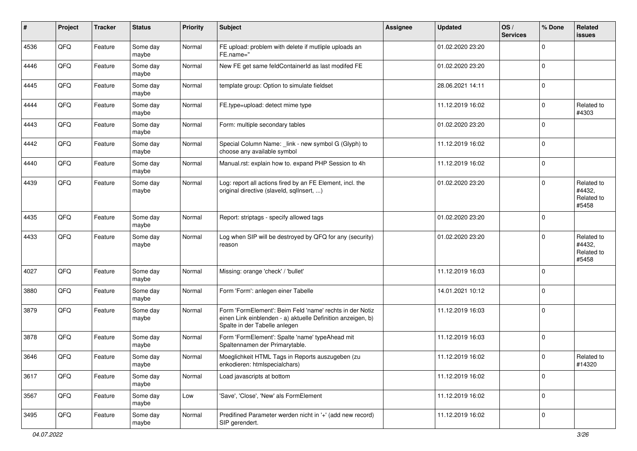| #    | Project | <b>Tracker</b> | <b>Status</b>     | <b>Priority</b> | <b>Subject</b>                                                                                                                                           | <b>Assignee</b> | <b>Updated</b>   | OS/<br><b>Services</b> | % Done      | Related<br><b>issues</b>                    |
|------|---------|----------------|-------------------|-----------------|----------------------------------------------------------------------------------------------------------------------------------------------------------|-----------------|------------------|------------------------|-------------|---------------------------------------------|
| 4536 | QFQ     | Feature        | Some day<br>maybe | Normal          | FE upload: problem with delete if mutliple uploads an<br>FE.name="                                                                                       |                 | 01.02.2020 23:20 |                        | $\mathbf 0$ |                                             |
| 4446 | QFQ     | Feature        | Some day<br>maybe | Normal          | New FE get same feldContainerId as last modifed FE                                                                                                       |                 | 01.02.2020 23:20 |                        | $\mathbf 0$ |                                             |
| 4445 | QFQ     | Feature        | Some day<br>maybe | Normal          | template group: Option to simulate fieldset                                                                                                              |                 | 28.06.2021 14:11 |                        | 0           |                                             |
| 4444 | QFQ     | Feature        | Some day<br>maybe | Normal          | FE.type=upload: detect mime type                                                                                                                         |                 | 11.12.2019 16:02 |                        | $\mathbf 0$ | Related to<br>#4303                         |
| 4443 | QFQ     | Feature        | Some day<br>maybe | Normal          | Form: multiple secondary tables                                                                                                                          |                 | 01.02.2020 23:20 |                        | $\mathbf 0$ |                                             |
| 4442 | QFQ     | Feature        | Some day<br>maybe | Normal          | Special Column Name: _link - new symbol G (Glyph) to<br>choose any available symbol                                                                      |                 | 11.12.2019 16:02 |                        | $\mathbf 0$ |                                             |
| 4440 | QFQ     | Feature        | Some day<br>maybe | Normal          | Manual.rst: explain how to. expand PHP Session to 4h                                                                                                     |                 | 11.12.2019 16:02 |                        | $\pmb{0}$   |                                             |
| 4439 | QFQ     | Feature        | Some day<br>maybe | Normal          | Log: report all actions fired by an FE Element, incl. the<br>original directive (slaveld, sqlInsert, )                                                   |                 | 01.02.2020 23:20 |                        | $\mathbf 0$ | Related to<br>#4432,<br>Related to<br>#5458 |
| 4435 | QFQ     | Feature        | Some day<br>maybe | Normal          | Report: striptags - specify allowed tags                                                                                                                 |                 | 01.02.2020 23:20 |                        | $\mathbf 0$ |                                             |
| 4433 | QFQ     | Feature        | Some day<br>maybe | Normal          | Log when SIP will be destroyed by QFQ for any (security)<br>reason                                                                                       |                 | 01.02.2020 23:20 |                        | $\mathbf 0$ | Related to<br>#4432,<br>Related to<br>#5458 |
| 4027 | QFQ     | Feature        | Some day<br>maybe | Normal          | Missing: orange 'check' / 'bullet'                                                                                                                       |                 | 11.12.2019 16:03 |                        | $\mathbf 0$ |                                             |
| 3880 | QFQ     | Feature        | Some day<br>maybe | Normal          | Form 'Form': anlegen einer Tabelle                                                                                                                       |                 | 14.01.2021 10:12 |                        | $\mathbf 0$ |                                             |
| 3879 | QFQ     | Feature        | Some day<br>maybe | Normal          | Form 'FormElement': Beim Feld 'name' rechts in der Notiz<br>einen Link einblenden - a) aktuelle Definition anzeigen, b)<br>Spalte in der Tabelle anlegen |                 | 11.12.2019 16:03 |                        | $\mathbf 0$ |                                             |
| 3878 | QFQ     | Feature        | Some day<br>maybe | Normal          | Form 'FormElement': Spalte 'name' typeAhead mit<br>Spaltennamen der Primarytable.                                                                        |                 | 11.12.2019 16:03 |                        | $\mathbf 0$ |                                             |
| 3646 | QFQ     | Feature        | Some day<br>maybe | Normal          | Moeglichkeit HTML Tags in Reports auszugeben (zu<br>enkodieren: htmlspecialchars)                                                                        |                 | 11.12.2019 16:02 |                        | 0           | Related to<br>#14320                        |
| 3617 | QFQ     | Feature        | Some day<br>maybe | Normal          | Load javascripts at bottom                                                                                                                               |                 | 11.12.2019 16:02 |                        | $\mathbf 0$ |                                             |
| 3567 | QFQ     | Feature        | Some day<br>maybe | Low             | 'Save', 'Close', 'New' als FormElement                                                                                                                   |                 | 11.12.2019 16:02 |                        | $\pmb{0}$   |                                             |
| 3495 | QFQ     | Feature        | Some day<br>maybe | Normal          | Predifined Parameter werden nicht in '+' (add new record)<br>SIP gerendert.                                                                              |                 | 11.12.2019 16:02 |                        | $\mathbf 0$ |                                             |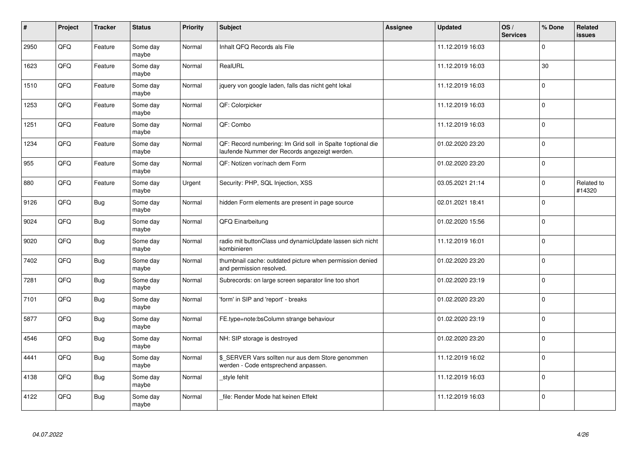| $\vert$ # | Project | <b>Tracker</b> | <b>Status</b>     | <b>Priority</b> | <b>Subject</b>                                                                                               | <b>Assignee</b> | <b>Updated</b>   | OS/<br><b>Services</b> | % Done      | Related<br><b>issues</b> |
|-----------|---------|----------------|-------------------|-----------------|--------------------------------------------------------------------------------------------------------------|-----------------|------------------|------------------------|-------------|--------------------------|
| 2950      | QFQ     | Feature        | Some day<br>maybe | Normal          | Inhalt QFQ Records als File                                                                                  |                 | 11.12.2019 16:03 |                        | $\mathbf 0$ |                          |
| 1623      | QFQ     | Feature        | Some day<br>maybe | Normal          | RealURL                                                                                                      |                 | 11.12.2019 16:03 |                        | 30          |                          |
| 1510      | QFQ     | Feature        | Some day<br>maybe | Normal          | jquery von google laden, falls das nicht geht lokal                                                          |                 | 11.12.2019 16:03 |                        | $\mathbf 0$ |                          |
| 1253      | QFQ     | Feature        | Some day<br>maybe | Normal          | QF: Colorpicker                                                                                              |                 | 11.12.2019 16:03 |                        | $\mathbf 0$ |                          |
| 1251      | QFQ     | Feature        | Some day<br>maybe | Normal          | QF: Combo                                                                                                    |                 | 11.12.2019 16:03 |                        | $\pmb{0}$   |                          |
| 1234      | QFQ     | Feature        | Some day<br>maybe | Normal          | QF: Record numbering: Im Grid soll in Spalte 1 optional die<br>laufende Nummer der Records angezeigt werden. |                 | 01.02.2020 23:20 |                        | $\mathbf 0$ |                          |
| 955       | QFQ     | Feature        | Some day<br>maybe | Normal          | QF: Notizen vor/nach dem Form                                                                                |                 | 01.02.2020 23:20 |                        | $\mathbf 0$ |                          |
| 880       | QFQ     | Feature        | Some day<br>maybe | Urgent          | Security: PHP, SQL Injection, XSS                                                                            |                 | 03.05.2021 21:14 |                        | $\Omega$    | Related to<br>#14320     |
| 9126      | QFQ     | <b>Bug</b>     | Some day<br>maybe | Normal          | hidden Form elements are present in page source                                                              |                 | 02.01.2021 18:41 |                        | $\mathbf 0$ |                          |
| 9024      | QFQ     | <b>Bug</b>     | Some day<br>maybe | Normal          | QFQ Einarbeitung                                                                                             |                 | 01.02.2020 15:56 |                        | $\mathbf 0$ |                          |
| 9020      | QFQ     | Bug            | Some day<br>maybe | Normal          | radio mit buttonClass und dynamicUpdate lassen sich nicht<br>kombinieren                                     |                 | 11.12.2019 16:01 |                        | $\mathbf 0$ |                          |
| 7402      | QFQ     | <b>Bug</b>     | Some day<br>maybe | Normal          | thumbnail cache: outdated picture when permission denied<br>and permission resolved.                         |                 | 01.02.2020 23:20 |                        | $\mathbf 0$ |                          |
| 7281      | QFQ     | <b>Bug</b>     | Some day<br>maybe | Normal          | Subrecords: on large screen separator line too short                                                         |                 | 01.02.2020 23:19 |                        | $\pmb{0}$   |                          |
| 7101      | QFQ     | <b>Bug</b>     | Some day<br>maybe | Normal          | 'form' in SIP and 'report' - breaks                                                                          |                 | 01.02.2020 23:20 |                        | $\mathbf 0$ |                          |
| 5877      | QFQ     | <b>Bug</b>     | Some day<br>maybe | Normal          | FE.type=note:bsColumn strange behaviour                                                                      |                 | 01.02.2020 23:19 |                        | $\mathbf 0$ |                          |
| 4546      | QFQ     | <b>Bug</b>     | Some day<br>maybe | Normal          | NH: SIP storage is destroyed                                                                                 |                 | 01.02.2020 23:20 |                        | $\mathbf 0$ |                          |
| 4441      | QFQ     | Bug            | Some day<br>maybe | Normal          | \$ SERVER Vars sollten nur aus dem Store genommen<br>werden - Code entsprechend anpassen.                    |                 | 11.12.2019 16:02 |                        | $\mathbf 0$ |                          |
| 4138      | QFQ     | <b>Bug</b>     | Some day<br>maybe | Normal          | style fehlt                                                                                                  |                 | 11.12.2019 16:03 |                        | $\pmb{0}$   |                          |
| 4122      | QFQ     | <b>Bug</b>     | Some day<br>maybe | Normal          | file: Render Mode hat keinen Effekt                                                                          |                 | 11.12.2019 16:03 |                        | $\mathbf 0$ |                          |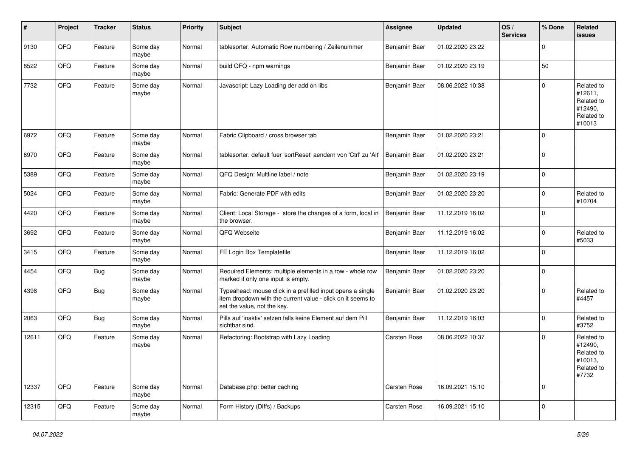| $\sharp$ | Project | <b>Tracker</b> | <b>Status</b>     | <b>Priority</b> | <b>Subject</b>                                                                                                                                           | <b>Assignee</b> | <b>Updated</b>   | OS/<br><b>Services</b> | % Done      | Related<br><b>issues</b>                                               |
|----------|---------|----------------|-------------------|-----------------|----------------------------------------------------------------------------------------------------------------------------------------------------------|-----------------|------------------|------------------------|-------------|------------------------------------------------------------------------|
| 9130     | QFQ     | Feature        | Some day<br>maybe | Normal          | tablesorter: Automatic Row numbering / Zeilenummer                                                                                                       | Benjamin Baer   | 01.02.2020 23:22 |                        | $\Omega$    |                                                                        |
| 8522     | QFQ     | Feature        | Some day<br>maybe | Normal          | build QFQ - npm warnings                                                                                                                                 | Benjamin Baer   | 01.02.2020 23:19 |                        | 50          |                                                                        |
| 7732     | QFQ     | Feature        | Some day<br>maybe | Normal          | Javascript: Lazy Loading der add on libs                                                                                                                 | Benjamin Baer   | 08.06.2022 10:38 |                        | $\Omega$    | Related to<br>#12611,<br>Related to<br>#12490,<br>Related to<br>#10013 |
| 6972     | QFQ     | Feature        | Some day<br>maybe | Normal          | Fabric Clipboard / cross browser tab                                                                                                                     | Benjamin Baer   | 01.02.2020 23:21 |                        | $\Omega$    |                                                                        |
| 6970     | QFQ     | Feature        | Some day<br>maybe | Normal          | tablesorter: default fuer 'sortReset' aendern von 'Ctrl' zu 'Alt'                                                                                        | Benjamin Baer   | 01.02.2020 23:21 |                        | 0           |                                                                        |
| 5389     | QFQ     | Feature        | Some day<br>maybe | Normal          | QFQ Design: Multline label / note                                                                                                                        | Benjamin Baer   | 01.02.2020 23:19 |                        | $\mathbf 0$ |                                                                        |
| 5024     | QFQ     | Feature        | Some day<br>maybe | Normal          | Fabric: Generate PDF with edits                                                                                                                          | Benjamin Baer   | 01.02.2020 23:20 |                        | $\mathbf 0$ | Related to<br>#10704                                                   |
| 4420     | QFQ     | Feature        | Some day<br>maybe | Normal          | Client: Local Storage - store the changes of a form, local in<br>the browser.                                                                            | Benjamin Baer   | 11.12.2019 16:02 |                        | $\mathbf 0$ |                                                                        |
| 3692     | QFQ     | Feature        | Some day<br>maybe | Normal          | QFQ Webseite                                                                                                                                             | Benjamin Baer   | 11.12.2019 16:02 |                        | $\mathbf 0$ | Related to<br>#5033                                                    |
| 3415     | QFQ     | Feature        | Some day<br>maybe | Normal          | FE Login Box Templatefile                                                                                                                                | Benjamin Baer   | 11.12.2019 16:02 |                        | $\Omega$    |                                                                        |
| 4454     | QFQ     | Bug            | Some day<br>maybe | Normal          | Required Elements: multiple elements in a row - whole row<br>marked if only one input is empty.                                                          | Benjamin Baer   | 01.02.2020 23:20 |                        | $\Omega$    |                                                                        |
| 4398     | QFQ     | Bug            | Some day<br>maybe | Normal          | Typeahead: mouse click in a prefilled input opens a single<br>item dropdown with the current value - click on it seems to<br>set the value, not the key. | Benjamin Baer   | 01.02.2020 23:20 |                        | $\mathbf 0$ | Related to<br>#4457                                                    |
| 2063     | QFQ     | Bug            | Some day<br>maybe | Normal          | Pills auf 'inaktiv' setzen falls keine Element auf dem Pill<br>sichtbar sind.                                                                            | Benjamin Baer   | 11.12.2019 16:03 |                        | $\mathbf 0$ | Related to<br>#3752                                                    |
| 12611    | QFQ     | Feature        | Some day<br>maybe | Normal          | Refactoring: Bootstrap with Lazy Loading                                                                                                                 | Carsten Rose    | 08.06.2022 10:37 |                        | $\Omega$    | Related to<br>#12490,<br>Related to<br>#10013,<br>Related to<br>#7732  |
| 12337    | QFQ     | Feature        | Some day<br>maybe | Normal          | Database.php: better caching                                                                                                                             | Carsten Rose    | 16.09.2021 15:10 |                        | $\mathbf 0$ |                                                                        |
| 12315    | QFQ     | Feature        | Some day<br>maybe | Normal          | Form History (Diffs) / Backups                                                                                                                           | Carsten Rose    | 16.09.2021 15:10 |                        | $\mathbf 0$ |                                                                        |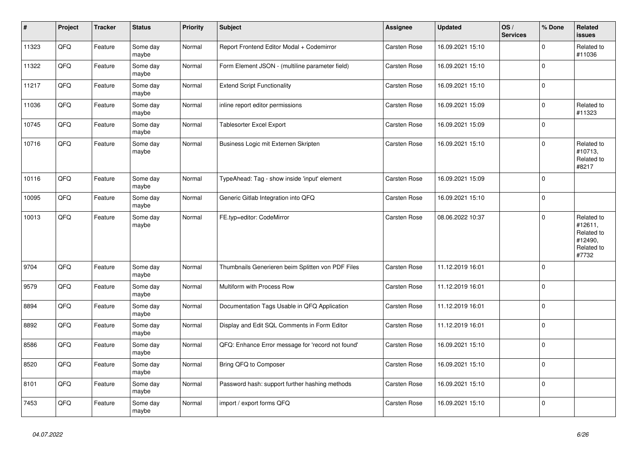| $\vert$ # | <b>Project</b> | <b>Tracker</b> | <b>Status</b>     | <b>Priority</b> | <b>Subject</b>                                    | Assignee     | <b>Updated</b>   | OS/<br><b>Services</b> | % Done      | Related<br><b>issues</b>                                              |
|-----------|----------------|----------------|-------------------|-----------------|---------------------------------------------------|--------------|------------------|------------------------|-------------|-----------------------------------------------------------------------|
| 11323     | QFQ            | Feature        | Some day<br>maybe | Normal          | Report Frontend Editor Modal + Codemirror         | Carsten Rose | 16.09.2021 15:10 |                        | $\Omega$    | Related to<br>#11036                                                  |
| 11322     | QFQ            | Feature        | Some day<br>maybe | Normal          | Form Element JSON - (multiline parameter field)   | Carsten Rose | 16.09.2021 15:10 |                        | $\mathbf 0$ |                                                                       |
| 11217     | QFQ            | Feature        | Some day<br>maybe | Normal          | <b>Extend Script Functionality</b>                | Carsten Rose | 16.09.2021 15:10 |                        | $\mathbf 0$ |                                                                       |
| 11036     | QFQ            | Feature        | Some day<br>maybe | Normal          | inline report editor permissions                  | Carsten Rose | 16.09.2021 15:09 |                        | $\mathbf 0$ | Related to<br>#11323                                                  |
| 10745     | QFQ            | Feature        | Some day<br>maybe | Normal          | <b>Tablesorter Excel Export</b>                   | Carsten Rose | 16.09.2021 15:09 |                        | $\mathbf 0$ |                                                                       |
| 10716     | QFQ            | Feature        | Some day<br>maybe | Normal          | Business Logic mit Externen Skripten              | Carsten Rose | 16.09.2021 15:10 |                        | $\pmb{0}$   | Related to<br>#10713,<br>Related to<br>#8217                          |
| 10116     | QFQ            | Feature        | Some day<br>maybe | Normal          | TypeAhead: Tag - show inside 'input' element      | Carsten Rose | 16.09.2021 15:09 |                        | $\Omega$    |                                                                       |
| 10095     | QFQ            | Feature        | Some day<br>maybe | Normal          | Generic Gitlab Integration into QFQ               | Carsten Rose | 16.09.2021 15:10 |                        | $\mathbf 0$ |                                                                       |
| 10013     | QFQ            | Feature        | Some day<br>maybe | Normal          | FE.typ=editor: CodeMirror                         | Carsten Rose | 08.06.2022 10:37 |                        | $\mathbf 0$ | Related to<br>#12611,<br>Related to<br>#12490,<br>Related to<br>#7732 |
| 9704      | QFQ            | Feature        | Some day<br>maybe | Normal          | Thumbnails Generieren beim Splitten von PDF Files | Carsten Rose | 11.12.2019 16:01 |                        | $\mathbf 0$ |                                                                       |
| 9579      | QFQ            | Feature        | Some day<br>maybe | Normal          | Multiform with Process Row                        | Carsten Rose | 11.12.2019 16:01 |                        | $\mathbf 0$ |                                                                       |
| 8894      | QFQ            | Feature        | Some day<br>maybe | Normal          | Documentation Tags Usable in QFQ Application      | Carsten Rose | 11.12.2019 16:01 |                        | $\mathbf 0$ |                                                                       |
| 8892      | QFQ            | Feature        | Some day<br>maybe | Normal          | Display and Edit SQL Comments in Form Editor      | Carsten Rose | 11.12.2019 16:01 |                        | $\mathbf 0$ |                                                                       |
| 8586      | QFQ            | Feature        | Some day<br>maybe | Normal          | QFQ: Enhance Error message for 'record not found' | Carsten Rose | 16.09.2021 15:10 |                        | $\pmb{0}$   |                                                                       |
| 8520      | QFQ            | Feature        | Some day<br>maybe | Normal          | Bring QFQ to Composer                             | Carsten Rose | 16.09.2021 15:10 |                        | $\mathbf 0$ |                                                                       |
| 8101      | QFQ            | Feature        | Some day<br>maybe | Normal          | Password hash: support further hashing methods    | Carsten Rose | 16.09.2021 15:10 |                        | $\Omega$    |                                                                       |
| 7453      | QFQ            | Feature        | Some day<br>maybe | Normal          | import / export forms QFQ                         | Carsten Rose | 16.09.2021 15:10 |                        | $\mathbf 0$ |                                                                       |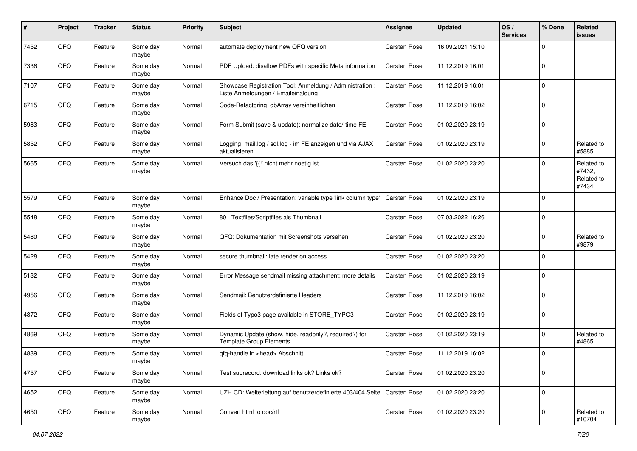| #    | Project | <b>Tracker</b> | <b>Status</b>     | <b>Priority</b> | Subject                                                                                        | <b>Assignee</b> | <b>Updated</b>   | OS/<br><b>Services</b> | % Done      | Related<br><b>issues</b>                    |
|------|---------|----------------|-------------------|-----------------|------------------------------------------------------------------------------------------------|-----------------|------------------|------------------------|-------------|---------------------------------------------|
| 7452 | QFQ     | Feature        | Some day<br>maybe | Normal          | automate deployment new QFQ version                                                            | Carsten Rose    | 16.09.2021 15:10 |                        | $\mathbf 0$ |                                             |
| 7336 | QFQ     | Feature        | Some day<br>maybe | Normal          | PDF Upload: disallow PDFs with specific Meta information                                       | Carsten Rose    | 11.12.2019 16:01 |                        | $\mathbf 0$ |                                             |
| 7107 | QFQ     | Feature        | Some day<br>maybe | Normal          | Showcase Registration Tool: Anmeldung / Administration :<br>Liste Anmeldungen / Emaileinaldung | Carsten Rose    | 11.12.2019 16:01 |                        | 0           |                                             |
| 6715 | QFQ     | Feature        | Some day<br>maybe | Normal          | Code-Refactoring: dbArray vereinheitlichen                                                     | Carsten Rose    | 11.12.2019 16:02 |                        | $\mathbf 0$ |                                             |
| 5983 | QFQ     | Feature        | Some day<br>maybe | Normal          | Form Submit (save & update): normalize date/-time FE                                           | Carsten Rose    | 01.02.2020 23:19 |                        | $\mathbf 0$ |                                             |
| 5852 | QFQ     | Feature        | Some day<br>maybe | Normal          | Logging: mail.log / sql.log - im FE anzeigen und via AJAX<br>aktualisieren                     | Carsten Rose    | 01.02.2020 23:19 |                        | $\mathbf 0$ | Related to<br>#5885                         |
| 5665 | QFQ     | Feature        | Some day<br>maybe | Normal          | Versuch das '{{!' nicht mehr noetig ist.                                                       | Carsten Rose    | 01.02.2020 23:20 |                        | $\mathbf 0$ | Related to<br>#7432,<br>Related to<br>#7434 |
| 5579 | QFQ     | Feature        | Some day<br>maybe | Normal          | Enhance Doc / Presentation: variable type 'link column type'                                   | Carsten Rose    | 01.02.2020 23:19 |                        | $\mathbf 0$ |                                             |
| 5548 | QFQ     | Feature        | Some day<br>maybe | Normal          | 801 Textfiles/Scriptfiles als Thumbnail                                                        | Carsten Rose    | 07.03.2022 16:26 |                        | $\mathbf 0$ |                                             |
| 5480 | QFQ     | Feature        | Some day<br>maybe | Normal          | QFQ: Dokumentation mit Screenshots versehen                                                    | Carsten Rose    | 01.02.2020 23:20 |                        | $\mathbf 0$ | Related to<br>#9879                         |
| 5428 | QFQ     | Feature        | Some day<br>maybe | Normal          | secure thumbnail: late render on access.                                                       | Carsten Rose    | 01.02.2020 23:20 |                        | $\mathbf 0$ |                                             |
| 5132 | QFQ     | Feature        | Some day<br>maybe | Normal          | Error Message sendmail missing attachment: more details                                        | Carsten Rose    | 01.02.2020 23:19 |                        | $\mathbf 0$ |                                             |
| 4956 | QFQ     | Feature        | Some day<br>maybe | Normal          | Sendmail: Benutzerdefinierte Headers                                                           | Carsten Rose    | 11.12.2019 16:02 |                        | $\mathbf 0$ |                                             |
| 4872 | QFQ     | Feature        | Some day<br>maybe | Normal          | Fields of Typo3 page available in STORE_TYPO3                                                  | Carsten Rose    | 01.02.2020 23:19 |                        | $\mathbf 0$ |                                             |
| 4869 | QFQ     | Feature        | Some day<br>maybe | Normal          | Dynamic Update (show, hide, readonly?, required?) for<br><b>Template Group Elements</b>        | Carsten Rose    | 01.02.2020 23:19 |                        | $\mathbf 0$ | Related to<br>#4865                         |
| 4839 | QFQ     | Feature        | Some day<br>maybe | Normal          | qfq-handle in <head> Abschnitt</head>                                                          | Carsten Rose    | 11.12.2019 16:02 |                        | $\mathbf 0$ |                                             |
| 4757 | QFG     | Feature        | Some day<br>maybe | Normal          | Test subrecord: download links ok? Links ok?                                                   | Carsten Rose    | 01.02.2020 23:20 |                        | $\mathbf 0$ |                                             |
| 4652 | QFG     | Feature        | Some day<br>maybe | Normal          | UZH CD: Weiterleitung auf benutzerdefinierte 403/404 Seite   Carsten Rose                      |                 | 01.02.2020 23:20 |                        | $\mathbf 0$ |                                             |
| 4650 | QFO     | Feature        | Some day<br>maybe | Normal          | Convert html to doc/rtf                                                                        | Carsten Rose    | 01.02.2020 23:20 |                        | $\mathbf 0$ | Related to<br>#10704                        |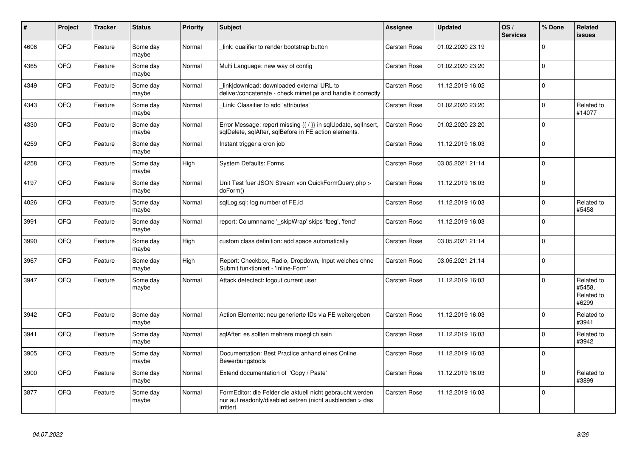| #    | Project | <b>Tracker</b> | <b>Status</b>     | <b>Priority</b> | <b>Subject</b>                                                                                                                      | Assignee     | <b>Updated</b>   | OS/<br><b>Services</b> | % Done      | Related<br>issues                           |
|------|---------|----------------|-------------------|-----------------|-------------------------------------------------------------------------------------------------------------------------------------|--------------|------------------|------------------------|-------------|---------------------------------------------|
| 4606 | QFQ     | Feature        | Some day<br>maybe | Normal          | link: qualifier to render bootstrap button                                                                                          | Carsten Rose | 01.02.2020 23:19 |                        | $\Omega$    |                                             |
| 4365 | QFQ     | Feature        | Some day<br>maybe | Normal          | Multi Language: new way of config                                                                                                   | Carsten Rose | 01.02.2020 23:20 |                        | $\Omega$    |                                             |
| 4349 | QFQ     | Feature        | Some day<br>maybe | Normal          | link download: downloaded external URL to<br>deliver/concatenate - check mimetipe and handle it correctly                           | Carsten Rose | 11.12.2019 16:02 |                        | $\Omega$    |                                             |
| 4343 | QFQ     | Feature        | Some day<br>maybe | Normal          | Link: Classifier to add 'attributes'                                                                                                | Carsten Rose | 01.02.2020 23:20 |                        | $\mathbf 0$ | Related to<br>#14077                        |
| 4330 | QFQ     | Feature        | Some day<br>maybe | Normal          | Error Message: report missing {{ / }} in sqlUpdate, sqlInsert,<br>sqlDelete, sqlAfter, sqlBefore in FE action elements.             | Carsten Rose | 01.02.2020 23:20 |                        | $\Omega$    |                                             |
| 4259 | QFQ     | Feature        | Some day<br>maybe | Normal          | Instant trigger a cron job                                                                                                          | Carsten Rose | 11.12.2019 16:03 |                        | $\Omega$    |                                             |
| 4258 | QFQ     | Feature        | Some day<br>maybe | High            | System Defaults: Forms                                                                                                              | Carsten Rose | 03.05.2021 21:14 |                        | $\Omega$    |                                             |
| 4197 | QFQ     | Feature        | Some day<br>maybe | Normal          | Unit Test fuer JSON Stream von QuickFormQuery.php ><br>doForm()                                                                     | Carsten Rose | 11.12.2019 16:03 |                        | $\Omega$    |                                             |
| 4026 | QFQ     | Feature        | Some day<br>maybe | Normal          | sglLog.sgl: log number of FE.id                                                                                                     | Carsten Rose | 11.12.2019 16:03 |                        | $\pmb{0}$   | Related to<br>#5458                         |
| 3991 | QFQ     | Feature        | Some day<br>maybe | Normal          | report: Columnname '_skipWrap' skips 'fbeg', 'fend'                                                                                 | Carsten Rose | 11.12.2019 16:03 |                        | $\Omega$    |                                             |
| 3990 | QFQ     | Feature        | Some day<br>maybe | High            | custom class definition: add space automatically                                                                                    | Carsten Rose | 03.05.2021 21:14 |                        | $\Omega$    |                                             |
| 3967 | QFQ     | Feature        | Some day<br>maybe | High            | Report: Checkbox, Radio, Dropdown, Input welches ohne<br>Submit funktioniert - 'Inline-Form'                                        | Carsten Rose | 03.05.2021 21:14 |                        | $\mathbf 0$ |                                             |
| 3947 | QFQ     | Feature        | Some day<br>maybe | Normal          | Attack detectect: logout current user                                                                                               | Carsten Rose | 11.12.2019 16:03 |                        | $\Omega$    | Related to<br>#5458,<br>Related to<br>#6299 |
| 3942 | QFQ     | Feature        | Some day<br>maybe | Normal          | Action Elemente: neu generierte IDs via FE weitergeben                                                                              | Carsten Rose | 11.12.2019 16:03 |                        | $\Omega$    | Related to<br>#3941                         |
| 3941 | QFQ     | Feature        | Some day<br>maybe | Normal          | sqlAfter: es sollten mehrere moeglich sein                                                                                          | Carsten Rose | 11.12.2019 16:03 |                        | $\mathbf 0$ | Related to<br>#3942                         |
| 3905 | QFQ     | Feature        | Some day<br>maybe | Normal          | Documentation: Best Practice anhand eines Online<br>Bewerbungstools                                                                 | Carsten Rose | 11.12.2019 16:03 |                        | $\Omega$    |                                             |
| 3900 | QFQ     | Feature        | Some day<br>maybe | Normal          | Extend documentation of 'Copy / Paste'                                                                                              | Carsten Rose | 11.12.2019 16:03 |                        | 0           | Related to<br>#3899                         |
| 3877 | QFQ     | Feature        | Some day<br>maybe | Normal          | FormEditor: die Felder die aktuell nicht gebraucht werden<br>nur auf readonly/disabled setzen (nicht ausblenden > das<br>irritiert. | Carsten Rose | 11.12.2019 16:03 |                        | $\Omega$    |                                             |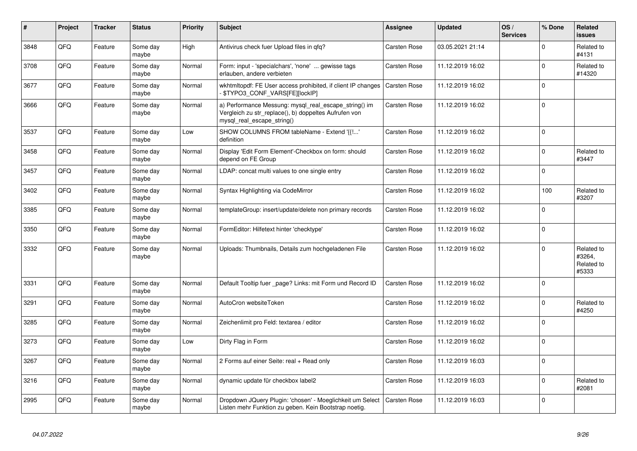| #    | Project | <b>Tracker</b> | <b>Status</b>     | <b>Priority</b> | <b>Subject</b>                                                                                                                               | Assignee     | <b>Updated</b>   | OS/<br><b>Services</b> | % Done      | Related<br><b>issues</b>                    |
|------|---------|----------------|-------------------|-----------------|----------------------------------------------------------------------------------------------------------------------------------------------|--------------|------------------|------------------------|-------------|---------------------------------------------|
| 3848 | QFQ     | Feature        | Some day<br>maybe | High            | Antivirus check fuer Upload files in qfq?                                                                                                    | Carsten Rose | 03.05.2021 21:14 |                        | $\Omega$    | Related to<br>#4131                         |
| 3708 | QFQ     | Feature        | Some day<br>maybe | Normal          | Form: input - 'specialchars', 'none'  gewisse tags<br>erlauben, andere verbieten                                                             | Carsten Rose | 11.12.2019 16:02 |                        | $\mathbf 0$ | Related to<br>#14320                        |
| 3677 | QFQ     | Feature        | Some day<br>maybe | Normal          | wkhtmltopdf: FE User access prohibited, if client IP changes<br>\$TYPO3 CONF VARS[FE][lockIP]                                                | Carsten Rose | 11.12.2019 16:02 |                        | $\pmb{0}$   |                                             |
| 3666 | QFQ     | Feature        | Some day<br>maybe | Normal          | a) Performance Messung: mysql_real_escape_string() im<br>Vergleich zu str_replace(), b) doppeltes Aufrufen von<br>mysql_real_escape_string() | Carsten Rose | 11.12.2019 16:02 |                        | $\mathbf 0$ |                                             |
| 3537 | QFQ     | Feature        | Some day<br>maybe | Low             | SHOW COLUMNS FROM tableName - Extend '{{!'<br>definition                                                                                     | Carsten Rose | 11.12.2019 16:02 |                        | $\mathbf 0$ |                                             |
| 3458 | QFQ     | Feature        | Some day<br>maybe | Normal          | Display 'Edit Form Element'-Checkbox on form: should<br>depend on FE Group                                                                   | Carsten Rose | 11.12.2019 16:02 |                        | $\mathbf 0$ | Related to<br>#3447                         |
| 3457 | QFQ     | Feature        | Some day<br>maybe | Normal          | LDAP: concat multi values to one single entry                                                                                                | Carsten Rose | 11.12.2019 16:02 |                        | $\mathbf 0$ |                                             |
| 3402 | QFQ     | Feature        | Some day<br>maybe | Normal          | Syntax Highlighting via CodeMirror                                                                                                           | Carsten Rose | 11.12.2019 16:02 |                        | 100         | Related to<br>#3207                         |
| 3385 | QFQ     | Feature        | Some day<br>maybe | Normal          | templateGroup: insert/update/delete non primary records                                                                                      | Carsten Rose | 11.12.2019 16:02 |                        | $\mathbf 0$ |                                             |
| 3350 | QFQ     | Feature        | Some day<br>maybe | Normal          | FormEditor: Hilfetext hinter 'checktype'                                                                                                     | Carsten Rose | 11.12.2019 16:02 |                        | $\mathbf 0$ |                                             |
| 3332 | QFQ     | Feature        | Some day<br>maybe | Normal          | Uploads: Thumbnails, Details zum hochgeladenen File                                                                                          | Carsten Rose | 11.12.2019 16:02 |                        | $\mathbf 0$ | Related to<br>#3264,<br>Related to<br>#5333 |
| 3331 | QFQ     | Feature        | Some day<br>maybe | Normal          | Default Tooltip fuer _page? Links: mit Form und Record ID                                                                                    | Carsten Rose | 11.12.2019 16:02 |                        | $\pmb{0}$   |                                             |
| 3291 | QFQ     | Feature        | Some day<br>maybe | Normal          | AutoCron websiteToken                                                                                                                        | Carsten Rose | 11.12.2019 16:02 |                        | $\mathbf 0$ | Related to<br>#4250                         |
| 3285 | QFQ     | Feature        | Some day<br>maybe | Normal          | Zeichenlimit pro Feld: textarea / editor                                                                                                     | Carsten Rose | 11.12.2019 16:02 |                        | $\mathbf 0$ |                                             |
| 3273 | QFQ     | Feature        | Some day<br>maybe | Low             | Dirty Flag in Form                                                                                                                           | Carsten Rose | 11.12.2019 16:02 |                        | $\Omega$    |                                             |
| 3267 | QFQ     | Feature        | Some day<br>maybe | Normal          | 2 Forms auf einer Seite: real + Read only                                                                                                    | Carsten Rose | 11.12.2019 16:03 |                        | $\mathbf 0$ |                                             |
| 3216 | QFQ     | Feature        | Some day<br>maybe | Normal          | dynamic update für checkbox label2                                                                                                           | Carsten Rose | 11.12.2019 16:03 |                        | $\pmb{0}$   | Related to<br>#2081                         |
| 2995 | QFQ     | Feature        | Some day<br>maybe | Normal          | Dropdown JQuery Plugin: 'chosen' - Moeglichkeit um Select<br>Listen mehr Funktion zu geben. Kein Bootstrap noetig.                           | Carsten Rose | 11.12.2019 16:03 |                        | $\Omega$    |                                             |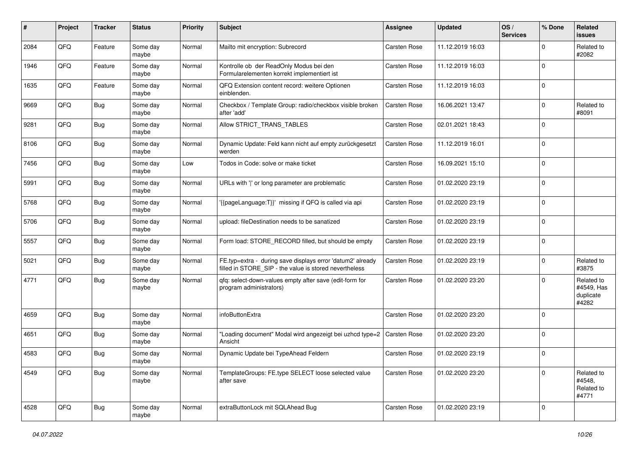| #    | Project | <b>Tracker</b> | <b>Status</b>     | <b>Priority</b> | <b>Subject</b>                                                                                                       | <b>Assignee</b> | <b>Updated</b>   | OS/<br><b>Services</b> | % Done      | Related<br>issues                              |
|------|---------|----------------|-------------------|-----------------|----------------------------------------------------------------------------------------------------------------------|-----------------|------------------|------------------------|-------------|------------------------------------------------|
| 2084 | QFQ     | Feature        | Some day<br>maybe | Normal          | Mailto mit encryption: Subrecord                                                                                     | Carsten Rose    | 11.12.2019 16:03 |                        | $\mathbf 0$ | Related to<br>#2082                            |
| 1946 | QFQ     | Feature        | Some day<br>maybe | Normal          | Kontrolle ob der ReadOnly Modus bei den<br>Formularelementen korrekt implementiert ist                               | Carsten Rose    | 11.12.2019 16:03 |                        | $\Omega$    |                                                |
| 1635 | QFQ     | Feature        | Some day<br>maybe | Normal          | QFQ Extension content record: weitere Optionen<br>einblenden.                                                        | Carsten Rose    | 11.12.2019 16:03 |                        | $\Omega$    |                                                |
| 9669 | QFQ     | Bug            | Some day<br>maybe | Normal          | Checkbox / Template Group: radio/checkbox visible broken<br>after 'add'                                              | Carsten Rose    | 16.06.2021 13:47 |                        | 0           | Related to<br>#8091                            |
| 9281 | QFQ     | <b>Bug</b>     | Some day<br>maybe | Normal          | Allow STRICT_TRANS_TABLES                                                                                            | Carsten Rose    | 02.01.2021 18:43 |                        | $\Omega$    |                                                |
| 8106 | QFQ     | <b>Bug</b>     | Some day<br>maybe | Normal          | Dynamic Update: Feld kann nicht auf empty zurückgesetzt<br>werden                                                    | Carsten Rose    | 11.12.2019 16:01 |                        | $\Omega$    |                                                |
| 7456 | QFQ     | <b>Bug</b>     | Some day<br>maybe | Low             | Todos in Code: solve or make ticket                                                                                  | Carsten Rose    | 16.09.2021 15:10 |                        | $\mathbf 0$ |                                                |
| 5991 | QFQ     | <b>Bug</b>     | Some day<br>maybe | Normal          | URLs with ' ' or long parameter are problematic                                                                      | Carsten Rose    | 01.02.2020 23:19 |                        | $\mathbf 0$ |                                                |
| 5768 | QFQ     | <b>Bug</b>     | Some day<br>maybe | Normal          | '{{pageLanguage:T}}' missing if QFQ is called via api                                                                | Carsten Rose    | 01.02.2020 23:19 |                        | $\mathbf 0$ |                                                |
| 5706 | QFQ     | Bug            | Some day<br>maybe | Normal          | upload: fileDestination needs to be sanatized                                                                        | Carsten Rose    | 01.02.2020 23:19 |                        | $\Omega$    |                                                |
| 5557 | QFQ     | <b>Bug</b>     | Some day<br>maybe | Normal          | Form load: STORE_RECORD filled, but should be empty                                                                  | Carsten Rose    | 01.02.2020 23:19 |                        | $\mathbf 0$ |                                                |
| 5021 | QFQ     | Bug            | Some day<br>maybe | Normal          | FE.typ=extra - during save displays error 'datum2' already<br>filled in STORE_SIP - the value is stored nevertheless | Carsten Rose    | 01.02.2020 23:19 |                        | $\Omega$    | Related to<br>#3875                            |
| 4771 | QFQ     | Bug            | Some day<br>maybe | Normal          | qfq: select-down-values empty after save (edit-form for<br>program administrators)                                   | Carsten Rose    | 01.02.2020 23:20 |                        | $\Omega$    | Related to<br>#4549, Has<br>duplicate<br>#4282 |
| 4659 | QFQ     | Bug            | Some day<br>maybe | Normal          | infoButtonExtra                                                                                                      | Carsten Rose    | 01.02.2020 23:20 |                        | $\Omega$    |                                                |
| 4651 | QFQ     | <b>Bug</b>     | Some day<br>maybe | Normal          | "Loading document" Modal wird angezeigt bei uzhcd type=2   Carsten Rose<br>Ansicht                                   |                 | 01.02.2020 23:20 |                        | $\mathbf 0$ |                                                |
| 4583 | QFQ     | Bug            | Some day<br>maybe | Normal          | Dynamic Update bei TypeAhead Feldern                                                                                 | Carsten Rose    | 01.02.2020 23:19 |                        | $\mathbf 0$ |                                                |
| 4549 | QFO     | Bug            | Some day<br>maybe | Normal          | TemplateGroups: FE.type SELECT loose selected value<br>after save                                                    | Carsten Rose    | 01.02.2020 23:20 |                        | $\mathbf 0$ | Related to<br>#4548,<br>Related to<br>#4771    |
| 4528 | QFO     | Bug            | Some day<br>maybe | Normal          | extraButtonLock mit SQLAhead Bug                                                                                     | Carsten Rose    | 01.02.2020 23:19 |                        | 0           |                                                |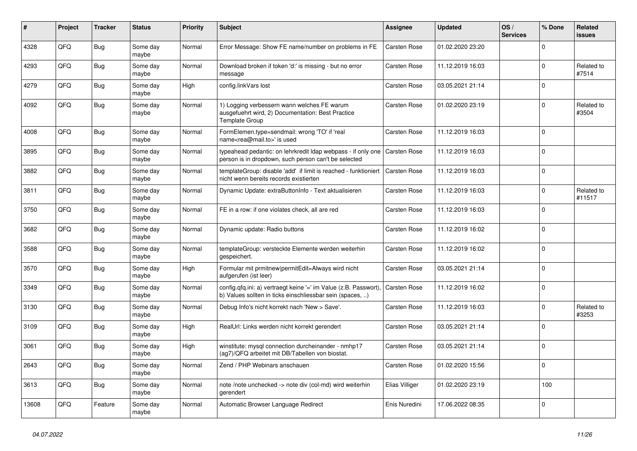| #     | Project | <b>Tracker</b> | <b>Status</b>     | <b>Priority</b> | <b>Subject</b>                                                                                                                | Assignee       | <b>Updated</b>   | OS/<br><b>Services</b> | % Done      | Related<br><b>issues</b> |
|-------|---------|----------------|-------------------|-----------------|-------------------------------------------------------------------------------------------------------------------------------|----------------|------------------|------------------------|-------------|--------------------------|
| 4328  | QFQ     | Bug            | Some day<br>maybe | Normal          | Error Message: Show FE name/number on problems in FE                                                                          | Carsten Rose   | 01.02.2020 23:20 |                        | $\Omega$    |                          |
| 4293  | QFQ     | <b>Bug</b>     | Some day<br>maybe | Normal          | Download broken if token 'd:' is missing - but no error<br>message                                                            | Carsten Rose   | 11.12.2019 16:03 |                        | $\mathbf 0$ | Related to<br>#7514      |
| 4279  | QFQ     | <b>Bug</b>     | Some day<br>maybe | High            | config.linkVars lost                                                                                                          | Carsten Rose   | 03.05.2021 21:14 |                        | $\mathbf 0$ |                          |
| 4092  | QFQ     | Bug            | Some day<br>maybe | Normal          | 1) Logging verbessern wann welches FE warum<br>ausgefuehrt wird, 2) Documentation: Best Practice<br><b>Template Group</b>     | Carsten Rose   | 01.02.2020 23:19 |                        | $\Omega$    | Related to<br>#3504      |
| 4008  | QFQ     | Bug            | Some day<br>maybe | Normal          | FormElemen.type=sendmail: wrong 'TO' if 'real<br>name <rea@mail.to>' is used</rea@mail.to>                                    | Carsten Rose   | 11.12.2019 16:03 |                        | $\mathbf 0$ |                          |
| 3895  | QFQ     | <b>Bug</b>     | Some day<br>maybe | Normal          | typeahead pedantic: on lehrkredit Idap webpass - if only one<br>person is in dropdown, such person can't be selected          | Carsten Rose   | 11.12.2019 16:03 |                        | $\Omega$    |                          |
| 3882  | QFQ     | <b>Bug</b>     | Some day<br>maybe | Normal          | templateGroup: disable 'add' if limit is reached - funktioniert<br>nicht wenn bereits records existierten                     | Carsten Rose   | 11.12.2019 16:03 |                        | $\mathbf 0$ |                          |
| 3811  | QFQ     | <b>Bug</b>     | Some day<br>maybe | Normal          | Dynamic Update: extraButtonInfo - Text aktualisieren                                                                          | Carsten Rose   | 11.12.2019 16:03 |                        | $\Omega$    | Related to<br>#11517     |
| 3750  | QFQ     | <b>Bug</b>     | Some day<br>maybe | Normal          | FE in a row: if one violates check, all are red                                                                               | Carsten Rose   | 11.12.2019 16:03 |                        | $\Omega$    |                          |
| 3682  | QFQ     | <b>Bug</b>     | Some day<br>maybe | Normal          | Dynamic update: Radio buttons                                                                                                 | Carsten Rose   | 11.12.2019 16:02 |                        | $\mathbf 0$ |                          |
| 3588  | QFQ     | <b>Bug</b>     | Some day<br>maybe | Normal          | templateGroup: versteckte Elemente werden weiterhin<br>gespeichert.                                                           | Carsten Rose   | 11.12.2019 16:02 |                        | $\Omega$    |                          |
| 3570  | QFQ     | Bug            | Some day<br>maybe | High            | Formular mit prmitnew permitEdit=Always wird nicht<br>aufgerufen (ist leer)                                                   | Carsten Rose   | 03.05.2021 21:14 |                        | $\Omega$    |                          |
| 3349  | QFQ     | Bug            | Some day<br>maybe | Normal          | config.qfq.ini: a) vertraegt keine '=' im Value (z.B. Passwort).<br>b) Values sollten in ticks einschliessbar sein (spaces, ) | Carsten Rose   | 11.12.2019 16:02 |                        | $\mathbf 0$ |                          |
| 3130  | QFQ     | <b>Bug</b>     | Some day<br>maybe | Normal          | Debug Info's nicht korrekt nach 'New > Save'.                                                                                 | Carsten Rose   | 11.12.2019 16:03 |                        | $\Omega$    | Related to<br>#3253      |
| 3109  | QFQ     | Bug            | Some day<br>maybe | High            | RealUrl: Links werden nicht korrekt gerendert                                                                                 | Carsten Rose   | 03.05.2021 21:14 |                        | $\mathbf 0$ |                          |
| 3061  | QFQ     | Bug            | Some day<br>maybe | High            | winstitute: mysql connection durcheinander - nmhp17<br>(ag7)/QFQ arbeitet mit DB/Tabellen von biostat.                        | Carsten Rose   | 03.05.2021 21:14 |                        | $\pmb{0}$   |                          |
| 2643  | QFQ     | Bug            | Some day<br>maybe | Normal          | Zend / PHP Webinars anschauen                                                                                                 | Carsten Rose   | 01.02.2020 15:56 |                        | $\Omega$    |                          |
| 3613  | QFQ     | Bug            | Some day<br>maybe | Normal          | note /note unchecked -> note div (col-md) wird weiterhin<br>gerendert                                                         | Elias Villiger | 01.02.2020 23:19 |                        | 100         |                          |
| 13608 | QFQ     | Feature        | Some day<br>maybe | Normal          | Automatic Browser Language Redirect                                                                                           | Enis Nuredini  | 17.06.2022 08:35 |                        | $\mathbf 0$ |                          |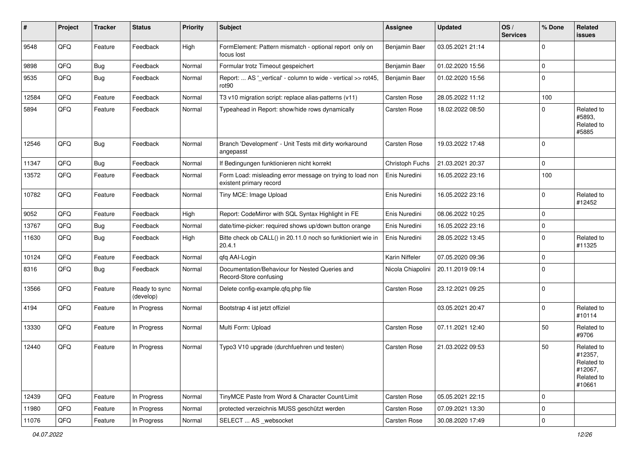| #     | Project | <b>Tracker</b> | <b>Status</b>              | <b>Priority</b> | <b>Subject</b>                                                                       | <b>Assignee</b>   | <b>Updated</b>   | OS/<br><b>Services</b> | % Done      | Related<br>issues                                                      |
|-------|---------|----------------|----------------------------|-----------------|--------------------------------------------------------------------------------------|-------------------|------------------|------------------------|-------------|------------------------------------------------------------------------|
| 9548  | QFQ     | Feature        | Feedback                   | High            | FormElement: Pattern mismatch - optional report only on<br>focus lost                | Benjamin Baer     | 03.05.2021 21:14 |                        | $\mathbf 0$ |                                                                        |
| 9898  | QFQ     | Bug            | Feedback                   | Normal          | Formular trotz Timeout gespeichert                                                   | Benjamin Baer     | 01.02.2020 15:56 |                        | $\mathbf 0$ |                                                                        |
| 9535  | QFQ     | Bug            | Feedback                   | Normal          | Report:  AS '_vertical' - column to wide - vertical >> rot45,<br>rot <sub>90</sub>   | Benjamin Baer     | 01.02.2020 15:56 |                        | $\mathbf 0$ |                                                                        |
| 12584 | QFQ     | Feature        | Feedback                   | Normal          | T3 v10 migration script: replace alias-patterns (v11)                                | Carsten Rose      | 28.05.2022 11:12 |                        | 100         |                                                                        |
| 5894  | QFQ     | Feature        | Feedback                   | Normal          | Typeahead in Report: show/hide rows dynamically                                      | Carsten Rose      | 18.02.2022 08:50 |                        | $\Omega$    | Related to<br>#5893.<br>Related to<br>#5885                            |
| 12546 | QFQ     | <b>Bug</b>     | Feedback                   | Normal          | Branch 'Development' - Unit Tests mit dirty workaround<br>angepasst                  | Carsten Rose      | 19.03.2022 17:48 |                        | $\mathbf 0$ |                                                                        |
| 11347 | QFQ     | Bug            | Feedback                   | Normal          | If Bedingungen funktionieren nicht korrekt                                           | Christoph Fuchs   | 21.03.2021 20:37 |                        | $\mathbf 0$ |                                                                        |
| 13572 | QFQ     | Feature        | Feedback                   | Normal          | Form Load: misleading error message on trying to load non<br>existent primary record | Enis Nuredini     | 16.05.2022 23:16 |                        | 100         |                                                                        |
| 10782 | QFQ     | Feature        | Feedback                   | Normal          | Tiny MCE: Image Upload                                                               | Enis Nuredini     | 16.05.2022 23:16 |                        | $\mathbf 0$ | Related to<br>#12452                                                   |
| 9052  | QFQ     | Feature        | Feedback                   | High            | Report: CodeMirror with SQL Syntax Highlight in FE                                   | Enis Nuredini     | 08.06.2022 10:25 |                        | $\mathbf 0$ |                                                                        |
| 13767 | QFQ     | Bug            | Feedback                   | Normal          | date/time-picker: required shows up/down button orange                               | Enis Nuredini     | 16.05.2022 23:16 |                        | $\pmb{0}$   |                                                                        |
| 11630 | QFQ     | Bug            | Feedback                   | High            | Bitte check ob CALL() in 20.11.0 noch so funktioniert wie in<br>20.4.1               | Enis Nuredini     | 28.05.2022 13:45 |                        | $\mathbf 0$ | Related to<br>#11325                                                   |
| 10124 | QFQ     | Feature        | Feedback                   | Normal          | qfq AAI-Login                                                                        | Karin Niffeler    | 07.05.2020 09:36 |                        | $\mathbf 0$ |                                                                        |
| 8316  | QFQ     | <b>Bug</b>     | Feedback                   | Normal          | Documentation/Behaviour for Nested Queries and<br>Record-Store confusing             | Nicola Chiapolini | 20.11.2019 09:14 |                        | $\mathbf 0$ |                                                                        |
| 13566 | QFQ     | Feature        | Ready to sync<br>(develop) | Normal          | Delete config-example.qfq.php file                                                   | Carsten Rose      | 23.12.2021 09:25 |                        | $\mathbf 0$ |                                                                        |
| 4194  | QFQ     | Feature        | In Progress                | Normal          | Bootstrap 4 ist jetzt offiziel                                                       |                   | 03.05.2021 20:47 |                        | $\mathbf 0$ | Related to<br>#10114                                                   |
| 13330 | QFQ     | Feature        | In Progress                | Normal          | Multi Form: Upload                                                                   | Carsten Rose      | 07.11.2021 12:40 |                        | 50          | Related to<br>#9706                                                    |
| 12440 | QFQ     | Feature        | In Progress                | Normal          | Typo3 V10 upgrade (durchfuehren und testen)                                          | Carsten Rose      | 21.03.2022 09:53 |                        | 50          | Related to<br>#12357,<br>Related to<br>#12067,<br>Related to<br>#10661 |
| 12439 | QFQ     | Feature        | In Progress                | Normal          | TinyMCE Paste from Word & Character Count/Limit                                      | Carsten Rose      | 05.05.2021 22:15 |                        | $\mathbf 0$ |                                                                        |
| 11980 | QFQ     | Feature        | In Progress                | Normal          | protected verzeichnis MUSS geschützt werden                                          | Carsten Rose      | 07.09.2021 13:30 |                        | 0           |                                                                        |
| 11076 | QFG     | Feature        | In Progress                | Normal          | SELECT  AS _websocket                                                                | Carsten Rose      | 30.08.2020 17:49 |                        | $\pmb{0}$   |                                                                        |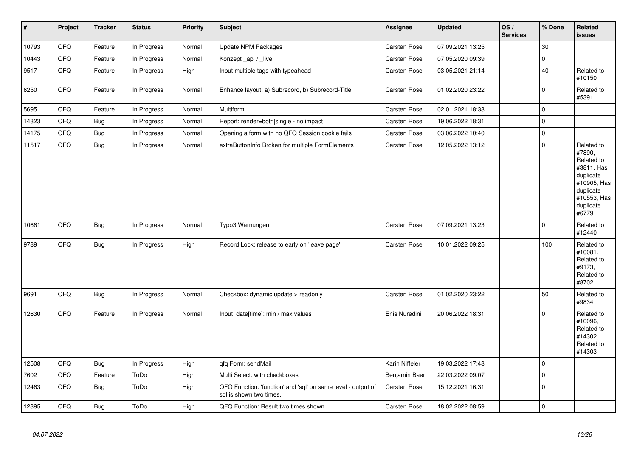| $\sharp$ | Project | <b>Tracker</b> | <b>Status</b> | Priority | Subject                                                                                 | <b>Assignee</b>     | <b>Updated</b>   | OS/<br><b>Services</b> | % Done      | Related<br>issues                                                                                                              |
|----------|---------|----------------|---------------|----------|-----------------------------------------------------------------------------------------|---------------------|------------------|------------------------|-------------|--------------------------------------------------------------------------------------------------------------------------------|
| 10793    | QFQ     | Feature        | In Progress   | Normal   | <b>Update NPM Packages</b>                                                              | Carsten Rose        | 07.09.2021 13:25 |                        | 30          |                                                                                                                                |
| 10443    | QFQ     | Feature        | In Progress   | Normal   | Konzept_api / _live                                                                     | Carsten Rose        | 07.05.2020 09:39 |                        | 0           |                                                                                                                                |
| 9517     | QFQ     | Feature        | In Progress   | High     | Input multiple tags with typeahead                                                      | Carsten Rose        | 03.05.2021 21:14 |                        | 40          | Related to<br>#10150                                                                                                           |
| 6250     | QFQ     | Feature        | In Progress   | Normal   | Enhance layout: a) Subrecord, b) Subrecord-Title                                        | Carsten Rose        | 01.02.2020 23:22 |                        | 0           | Related to<br>#5391                                                                                                            |
| 5695     | QFQ     | Feature        | In Progress   | Normal   | Multiform                                                                               | Carsten Rose        | 02.01.2021 18:38 |                        | $\pmb{0}$   |                                                                                                                                |
| 14323    | QFQ     | <b>Bug</b>     | In Progress   | Normal   | Report: render=both single - no impact                                                  | Carsten Rose        | 19.06.2022 18:31 |                        | $\Omega$    |                                                                                                                                |
| 14175    | QFQ     | Bug            | In Progress   | Normal   | Opening a form with no QFQ Session cookie fails                                         | <b>Carsten Rose</b> | 03.06.2022 10:40 |                        | 0           |                                                                                                                                |
| 11517    | QFQ     | Bug            | In Progress   | Normal   | extraButtonInfo Broken for multiple FormElements                                        | Carsten Rose        | 12.05.2022 13:12 |                        | $\Omega$    | Related to<br>#7890,<br>Related to<br>#3811, Has<br>duplicate<br>#10905, Has<br>duplicate<br>#10553, Has<br>duplicate<br>#6779 |
| 10661    | QFQ     | Bug            | In Progress   | Normal   | Typo3 Warnungen                                                                         | Carsten Rose        | 07.09.2021 13:23 |                        | $\mathbf 0$ | Related to<br>#12440                                                                                                           |
| 9789     | QFQ     | Bug            | In Progress   | High     | Record Lock: release to early on 'leave page'                                           | Carsten Rose        | 10.01.2022 09:25 |                        | 100         | Related to<br>#10081,<br>Related to<br>#9173,<br>Related to<br>#8702                                                           |
| 9691     | QFQ     | Bug            | In Progress   | Normal   | Checkbox: dynamic update > readonly                                                     | Carsten Rose        | 01.02.2020 23:22 |                        | 50          | Related to<br>#9834                                                                                                            |
| 12630    | QFQ     | Feature        | In Progress   | Normal   | Input: date[time]: min / max values                                                     | Enis Nuredini       | 20.06.2022 18:31 |                        | $\pmb{0}$   | Related to<br>#10096,<br>Related to<br>#14302.<br>Related to<br>#14303                                                         |
| 12508    | QFQ     | Bug            | In Progress   | High     | qfq Form: sendMail                                                                      | Karin Niffeler      | 19.03.2022 17:48 |                        | 0           |                                                                                                                                |
| 7602     | QFQ     | Feature        | ToDo          | High     | Multi Select: with checkboxes                                                           | Benjamin Baer       | 22.03.2022 09:07 |                        | $\Omega$    |                                                                                                                                |
| 12463    | QFQ     | Bug            | ToDo          | High     | QFQ Function: 'function' and 'sql' on same level - output of<br>sql is shown two times. | Carsten Rose        | 15.12.2021 16:31 |                        | 0           |                                                                                                                                |
| 12395    | QFQ     | Bug            | ToDo          | High     | QFQ Function: Result two times shown                                                    | Carsten Rose        | 18.02.2022 08:59 |                        | $\mathbf 0$ |                                                                                                                                |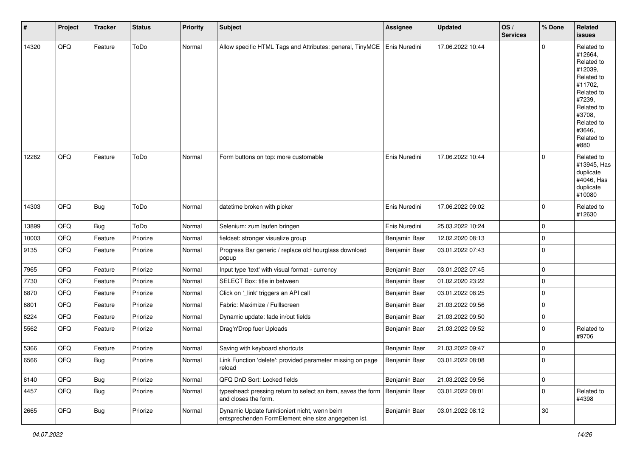| #     | Project | <b>Tracker</b> | <b>Status</b> | <b>Priority</b> | <b>Subject</b>                                                                                      | <b>Assignee</b> | <b>Updated</b>   | OS/<br><b>Services</b> | % Done      | Related<br><b>issues</b>                                                                                                                                              |
|-------|---------|----------------|---------------|-----------------|-----------------------------------------------------------------------------------------------------|-----------------|------------------|------------------------|-------------|-----------------------------------------------------------------------------------------------------------------------------------------------------------------------|
| 14320 | QFQ     | Feature        | ToDo          | Normal          | Allow specific HTML Tags and Attributes: general, TinyMCE                                           | Enis Nuredini   | 17.06.2022 10:44 |                        | $\mathbf 0$ | Related to<br>#12664,<br>Related to<br>#12039,<br>Related to<br>#11702,<br>Related to<br>#7239,<br>Related to<br>#3708,<br>Related to<br>#3646,<br>Related to<br>#880 |
| 12262 | QFQ     | Feature        | ToDo          | Normal          | Form buttons on top: more customable                                                                | Enis Nuredini   | 17.06.2022 10:44 |                        | 0           | Related to<br>#13945, Has<br>duplicate<br>#4046, Has<br>duplicate<br>#10080                                                                                           |
| 14303 | QFQ     | Bug            | ToDo          | Normal          | datetime broken with picker                                                                         | Enis Nuredini   | 17.06.2022 09:02 |                        | $\mathbf 0$ | Related to<br>#12630                                                                                                                                                  |
| 13899 | QFQ     | Bug            | ToDo          | Normal          | Selenium: zum laufen bringen                                                                        | Enis Nuredini   | 25.03.2022 10:24 |                        | $\mathbf 0$ |                                                                                                                                                                       |
| 10003 | QFQ     | Feature        | Priorize      | Normal          | fieldset: stronger visualize group                                                                  | Benjamin Baer   | 12.02.2020 08:13 |                        | 0           |                                                                                                                                                                       |
| 9135  | QFQ     | Feature        | Priorize      | Normal          | Progress Bar generic / replace old hourglass download<br>popup                                      | Benjamin Baer   | 03.01.2022 07:43 |                        | 0           |                                                                                                                                                                       |
| 7965  | QFQ     | Feature        | Priorize      | Normal          | Input type 'text' with visual format - currency                                                     | Benjamin Baer   | 03.01.2022 07:45 |                        | $\mathbf 0$ |                                                                                                                                                                       |
| 7730  | QFQ     | Feature        | Priorize      | Normal          | SELECT Box: title in between                                                                        | Benjamin Baer   | 01.02.2020 23:22 |                        | 0           |                                                                                                                                                                       |
| 6870  | QFQ     | Feature        | Priorize      | Normal          | Click on '_link' triggers an API call                                                               | Benjamin Baer   | 03.01.2022 08:25 |                        | 0           |                                                                                                                                                                       |
| 6801  | QFQ     | Feature        | Priorize      | Normal          | Fabric: Maximize / FullIscreen                                                                      | Benjamin Baer   | 21.03.2022 09:56 |                        | 0           |                                                                                                                                                                       |
| 6224  | QFQ     | Feature        | Priorize      | Normal          | Dynamic update: fade in/out fields                                                                  | Benjamin Baer   | 21.03.2022 09:50 |                        | 0           |                                                                                                                                                                       |
| 5562  | QFQ     | Feature        | Priorize      | Normal          | Drag'n'Drop fuer Uploads                                                                            | Benjamin Baer   | 21.03.2022 09:52 |                        | $\mathbf 0$ | Related to<br>#9706                                                                                                                                                   |
| 5366  | QFQ     | Feature        | Priorize      | Normal          | Saving with keyboard shortcuts                                                                      | Benjamin Baer   | 21.03.2022 09:47 |                        | 0           |                                                                                                                                                                       |
| 6566  | QFQ     | Bug            | Priorize      | Normal          | Link Function 'delete': provided parameter missing on page<br>reload                                | Benjamin Baer   | 03.01.2022 08:08 |                        | $\Omega$    |                                                                                                                                                                       |
| 6140  | QFQ     | Bug            | Priorize      | Normal          | QFQ DnD Sort: Locked fields                                                                         | Benjamin Baer   | 21.03.2022 09:56 |                        | $\pmb{0}$   |                                                                                                                                                                       |
| 4457  | QFQ     | <b>Bug</b>     | Priorize      | Normal          | typeahead: pressing return to select an item, saves the form<br>and closes the form.                | Benjamin Baer   | 03.01.2022 08:01 |                        | $\pmb{0}$   | Related to<br>#4398                                                                                                                                                   |
| 2665  | QFQ     | Bug            | Priorize      | Normal          | Dynamic Update funktioniert nicht, wenn beim<br>entsprechenden FormElement eine size angegeben ist. | Benjamin Baer   | 03.01.2022 08:12 |                        | 30          |                                                                                                                                                                       |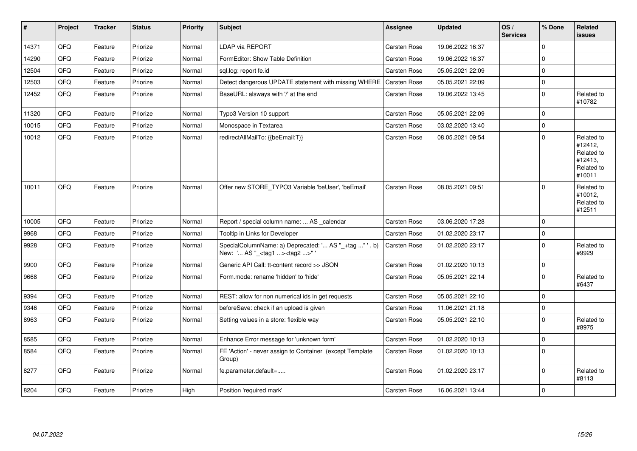| $\sharp$ | Project | <b>Tracker</b> | <b>Status</b> | <b>Priority</b> | <b>Subject</b>                                                                                    | <b>Assignee</b>     | <b>Updated</b>   | OS/<br><b>Services</b> | % Done      | Related<br>issues                                                      |
|----------|---------|----------------|---------------|-----------------|---------------------------------------------------------------------------------------------------|---------------------|------------------|------------------------|-------------|------------------------------------------------------------------------|
| 14371    | QFQ     | Feature        | Priorize      | Normal          | <b>LDAP via REPORT</b>                                                                            | Carsten Rose        | 19.06.2022 16:37 |                        | $\Omega$    |                                                                        |
| 14290    | QFQ     | Feature        | Priorize      | Normal          | FormEditor: Show Table Definition                                                                 | Carsten Rose        | 19.06.2022 16:37 |                        | $\mathbf 0$ |                                                                        |
| 12504    | QFQ     | Feature        | Priorize      | Normal          | sql.log: report fe.id                                                                             | Carsten Rose        | 05.05.2021 22:09 |                        | $\Omega$    |                                                                        |
| 12503    | QFQ     | Feature        | Priorize      | Normal          | Detect dangerous UPDATE statement with missing WHERE                                              | Carsten Rose        | 05.05.2021 22:09 |                        | $\mathbf 0$ |                                                                        |
| 12452    | QFQ     | Feature        | Priorize      | Normal          | BaseURL: alsways with '/' at the end                                                              | Carsten Rose        | 19.06.2022 13:45 |                        | $\pmb{0}$   | Related to<br>#10782                                                   |
| 11320    | QFQ     | Feature        | Priorize      | Normal          | Typo3 Version 10 support                                                                          | Carsten Rose        | 05.05.2021 22:09 |                        | $\mathbf 0$ |                                                                        |
| 10015    | QFQ     | Feature        | Priorize      | Normal          | Monospace in Textarea                                                                             | Carsten Rose        | 03.02.2020 13:40 |                        | $\Omega$    |                                                                        |
| 10012    | QFQ     | Feature        | Priorize      | Normal          | redirectAllMailTo: {{beEmail:T}}                                                                  | Carsten Rose        | 08.05.2021 09:54 |                        | $\Omega$    | Related to<br>#12412,<br>Related to<br>#12413,<br>Related to<br>#10011 |
| 10011    | QFQ     | Feature        | Priorize      | Normal          | Offer new STORE_TYPO3 Variable 'beUser', 'beEmail'                                                | Carsten Rose        | 08.05.2021 09:51 |                        | $\Omega$    | Related to<br>#10012,<br>Related to<br>#12511                          |
| 10005    | QFQ     | Feature        | Priorize      | Normal          | Report / special column name:  AS calendar                                                        | Carsten Rose        | 03.06.2020 17:28 |                        | $\Omega$    |                                                                        |
| 9968     | QFQ     | Feature        | Priorize      | Normal          | Tooltip in Links for Developer                                                                    | Carsten Rose        | 01.02.2020 23:17 |                        | 0           |                                                                        |
| 9928     | QFQ     | Feature        | Priorize      | Normal          | SpecialColumnName: a) Deprecated: ' AS "_+tag " ', b)<br>New: ' AS "_ <tag1><tag2>"</tag2></tag1> | <b>Carsten Rose</b> | 01.02.2020 23:17 |                        | 0           | Related to<br>#9929                                                    |
| 9900     | QFQ     | Feature        | Priorize      | Normal          | Generic API Call: tt-content record >> JSON                                                       | <b>Carsten Rose</b> | 01.02.2020 10:13 |                        | $\pmb{0}$   |                                                                        |
| 9668     | QFQ     | Feature        | Priorize      | Normal          | Form.mode: rename 'hidden' to 'hide'                                                              | Carsten Rose        | 05.05.2021 22:14 |                        | $\Omega$    | Related to<br>#6437                                                    |
| 9394     | QFQ     | Feature        | Priorize      | Normal          | REST: allow for non numerical ids in get requests                                                 | Carsten Rose        | 05.05.2021 22:10 |                        | $\Omega$    |                                                                        |
| 9346     | QFQ     | Feature        | Priorize      | Normal          | beforeSave: check if an upload is given                                                           | Carsten Rose        | 11.06.2021 21:18 |                        | $\mathbf 0$ |                                                                        |
| 8963     | QFQ     | Feature        | Priorize      | Normal          | Setting values in a store: flexible way                                                           | Carsten Rose        | 05.05.2021 22:10 |                        | $\pmb{0}$   | Related to<br>#8975                                                    |
| 8585     | QFQ     | Feature        | Priorize      | Normal          | Enhance Error message for 'unknown form'                                                          | Carsten Rose        | 01.02.2020 10:13 |                        | 0           |                                                                        |
| 8584     | QFQ     | Feature        | Priorize      | Normal          | FE 'Action' - never assign to Container (except Template<br>Group)                                | Carsten Rose        | 01.02.2020 10:13 |                        | $\pmb{0}$   |                                                                        |
| 8277     | QFQ     | Feature        | Priorize      | Normal          | fe.parameter.default=                                                                             | <b>Carsten Rose</b> | 01.02.2020 23:17 |                        | 0           | Related to<br>#8113                                                    |
| 8204     | QFQ     | Feature        | Priorize      | High            | Position 'required mark'                                                                          | <b>Carsten Rose</b> | 16.06.2021 13:44 |                        | $\pmb{0}$   |                                                                        |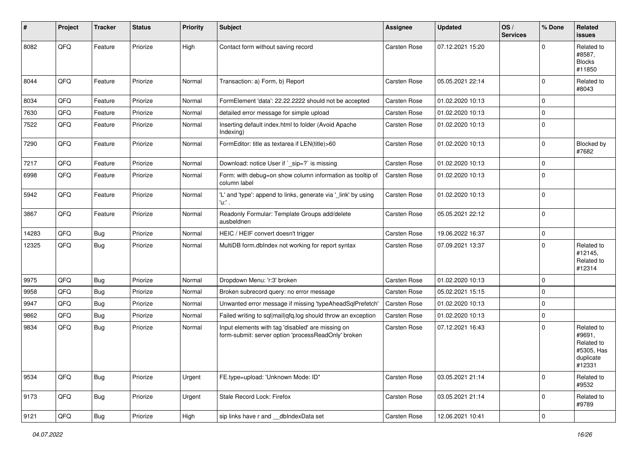| ∦     | Project | <b>Tracker</b> | <b>Status</b> | <b>Priority</b> | Subject                                                                                                  | <b>Assignee</b>     | <b>Updated</b>   | OS/<br><b>Services</b> | % Done      | Related<br><b>issues</b>                                                |
|-------|---------|----------------|---------------|-----------------|----------------------------------------------------------------------------------------------------------|---------------------|------------------|------------------------|-------------|-------------------------------------------------------------------------|
| 8082  | QFQ     | Feature        | Priorize      | High            | Contact form without saving record                                                                       | <b>Carsten Rose</b> | 07.12.2021 15:20 |                        | $\Omega$    | Related to<br>#8587,<br><b>Blocks</b><br>#11850                         |
| 8044  | QFQ     | Feature        | Priorize      | Normal          | Transaction: a) Form, b) Report                                                                          | Carsten Rose        | 05.05.2021 22:14 |                        | $\mathbf 0$ | Related to<br>#8043                                                     |
| 8034  | QFQ     | Feature        | Priorize      | Normal          | FormElement 'data': 22.22.2222 should not be accepted                                                    | Carsten Rose        | 01.02.2020 10:13 |                        | $\mathbf 0$ |                                                                         |
| 7630  | QFQ     | Feature        | Priorize      | Normal          | detailed error message for simple upload                                                                 | Carsten Rose        | 01.02.2020 10:13 |                        | $\mathbf 0$ |                                                                         |
| 7522  | QFQ     | Feature        | Priorize      | Normal          | Inserting default index.html to folder (Avoid Apache<br>Indexing)                                        | Carsten Rose        | 01.02.2020 10:13 |                        | $\mathbf 0$ |                                                                         |
| 7290  | QFQ     | Feature        | Priorize      | Normal          | FormEditor: title as textarea if LEN(title)>60                                                           | Carsten Rose        | 01.02.2020 10:13 |                        | $\mathbf 0$ | Blocked by<br>#7682                                                     |
| 7217  | QFQ     | Feature        | Priorize      | Normal          | Download: notice User if `_sip=?` is missing                                                             | Carsten Rose        | 01.02.2020 10:13 |                        | $\mathbf 0$ |                                                                         |
| 6998  | QFQ     | Feature        | Priorize      | Normal          | Form: with debug=on show column information as tooltip of<br>column label                                | Carsten Rose        | 01.02.2020 10:13 |                        | $\mathbf 0$ |                                                                         |
| 5942  | QFQ     | Feature        | Priorize      | Normal          | 'L' and 'type': append to links, generate via '_link' by using<br>'u:' .                                 | Carsten Rose        | 01.02.2020 10:13 |                        | $\mathbf 0$ |                                                                         |
| 3867  | QFQ     | Feature        | Priorize      | Normal          | Readonly Formular: Template Groups add/delete<br>ausbeldnen                                              | Carsten Rose        | 05.05.2021 22:12 |                        | $\mathbf 0$ |                                                                         |
| 14283 | QFQ     | Bug            | Priorize      | Normal          | HEIC / HEIF convert doesn't trigger                                                                      | Carsten Rose        | 19.06.2022 16:37 |                        | $\mathbf 0$ |                                                                         |
| 12325 | QFQ     | Bug            | Priorize      | Normal          | MultiDB form.dblndex not working for report syntax                                                       | Carsten Rose        | 07.09.2021 13:37 |                        | $\mathbf 0$ | Related to<br>#12145,<br>Related to<br>#12314                           |
| 9975  | QFQ     | Bug            | Priorize      | Normal          | Dropdown Menu: 'r:3' broken                                                                              | Carsten Rose        | 01.02.2020 10:13 |                        | $\mathbf 0$ |                                                                         |
| 9958  | QFQ     | Bug            | Priorize      | Normal          | Broken subrecord query: no error message                                                                 | Carsten Rose        | 05.02.2021 15:15 |                        | $\mathbf 0$ |                                                                         |
| 9947  | QFQ     | Bug            | Priorize      | Normal          | Unwanted error message if missing 'typeAheadSqlPrefetch'                                                 | Carsten Rose        | 01.02.2020 10:13 |                        | $\pmb{0}$   |                                                                         |
| 9862  | QFQ     | Bug            | Priorize      | Normal          | Failed writing to sql mail qfq.log should throw an exception                                             | Carsten Rose        | 01.02.2020 10:13 |                        | $\pmb{0}$   |                                                                         |
| 9834  | QFQ     | Bug            | Priorize      | Normal          | Input elements with tag 'disabled' are missing on<br>form-submit: server option 'processReadOnly' broken | Carsten Rose        | 07.12.2021 16:43 |                        | $\mathbf 0$ | Related to<br>#9691,<br>Related to<br>#5305, Has<br>duplicate<br>#12331 |
| 9534  | QFQ     | Bug            | Priorize      | Urgent          | FE.type=upload: 'Unknown Mode: ID"                                                                       | Carsten Rose        | 03.05.2021 21:14 |                        | $\mathbf 0$ | Related to<br>#9532                                                     |
| 9173  | QFQ     | <b>Bug</b>     | Priorize      | Urgent          | Stale Record Lock: Firefox                                                                               | Carsten Rose        | 03.05.2021 21:14 |                        | $\mathbf 0$ | Related to<br>#9789                                                     |
| 9121  | QFG     | Bug            | Priorize      | High            | sip links have r and __dbIndexData set                                                                   | Carsten Rose        | 12.06.2021 10:41 |                        | 0           |                                                                         |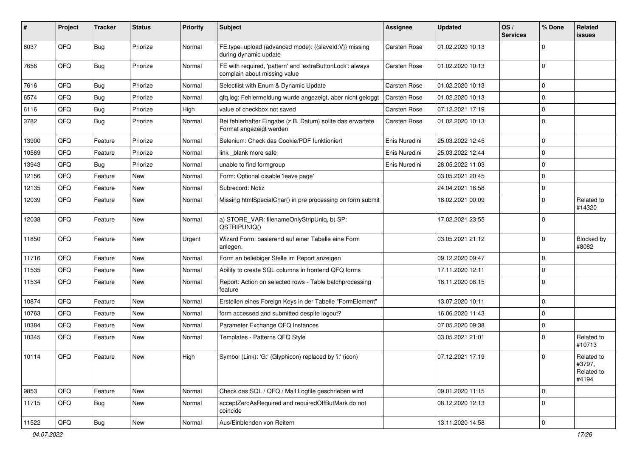| #     | Project | <b>Tracker</b> | <b>Status</b> | <b>Priority</b> | Subject                                                                                   | <b>Assignee</b> | <b>Updated</b>   | OS/<br><b>Services</b> | % Done      | Related<br><b>issues</b>                    |
|-------|---------|----------------|---------------|-----------------|-------------------------------------------------------------------------------------------|-----------------|------------------|------------------------|-------------|---------------------------------------------|
| 8037  | QFQ     | <b>Bug</b>     | Priorize      | Normal          | FE.type=upload (advanced mode): {{slaveld:V}} missing<br>during dynamic update            | Carsten Rose    | 01.02.2020 10:13 |                        | $\mathbf 0$ |                                             |
| 7656  | QFQ     | Bug            | Priorize      | Normal          | FE with required, 'pattern' and 'extraButtonLock': always<br>complain about missing value | Carsten Rose    | 01.02.2020 10:13 |                        | $\mathbf 0$ |                                             |
| 7616  | QFQ     | Bug            | Priorize      | Normal          | Selectlist with Enum & Dynamic Update                                                     | Carsten Rose    | 01.02.2020 10:13 |                        | $\mathbf 0$ |                                             |
| 6574  | QFQ     | <b>Bug</b>     | Priorize      | Normal          | qfq.log: Fehlermeldung wurde angezeigt, aber nicht geloggt                                | Carsten Rose    | 01.02.2020 10:13 |                        | $\mathbf 0$ |                                             |
| 6116  | QFQ     | Bug            | Priorize      | High            | value of checkbox not saved                                                               | Carsten Rose    | 07.12.2021 17:19 |                        | $\mathbf 0$ |                                             |
| 3782  | QFQ     | Bug            | Priorize      | Normal          | Bei fehlerhafter Eingabe (z.B. Datum) sollte das erwartete<br>Format angezeigt werden     | Carsten Rose    | 01.02.2020 10:13 |                        | 0           |                                             |
| 13900 | QFQ     | Feature        | Priorize      | Normal          | Selenium: Check das Cookie/PDF funktioniert                                               | Enis Nuredini   | 25.03.2022 12:45 |                        | $\mathbf 0$ |                                             |
| 10569 | QFQ     | Feature        | Priorize      | Normal          | link blank more safe                                                                      | Enis Nuredini   | 25.03.2022 12:44 |                        | $\Omega$    |                                             |
| 13943 | QFQ     | Bug            | Priorize      | Normal          | unable to find formgroup                                                                  | Enis Nuredini   | 28.05.2022 11:03 |                        | $\mathbf 0$ |                                             |
| 12156 | QFQ     | Feature        | <b>New</b>    | Normal          | Form: Optional disable 'leave page'                                                       |                 | 03.05.2021 20:45 |                        | $\mathbf 0$ |                                             |
| 12135 | QFQ     | Feature        | New           | Normal          | Subrecord: Notiz                                                                          |                 | 24.04.2021 16:58 |                        | $\mathbf 0$ |                                             |
| 12039 | QFQ     | Feature        | New           | Normal          | Missing htmlSpecialChar() in pre processing on form submit                                |                 | 18.02.2021 00:09 |                        | $\mathbf 0$ | Related to<br>#14320                        |
| 12038 | QFQ     | Feature        | <b>New</b>    | Normal          | a) STORE_VAR: filenameOnlyStripUniq, b) SP:<br>QSTRIPUNIQ()                               |                 | 17.02.2021 23:55 |                        | $\mathbf 0$ |                                             |
| 11850 | QFQ     | Feature        | <b>New</b>    | Urgent          | Wizard Form: basierend auf einer Tabelle eine Form<br>anlegen.                            |                 | 03.05.2021 21:12 |                        | $\mathbf 0$ | Blocked by<br>#8082                         |
| 11716 | QFQ     | Feature        | New           | Normal          | Form an beliebiger Stelle im Report anzeigen                                              |                 | 09.12.2020 09:47 |                        | $\mathbf 0$ |                                             |
| 11535 | QFQ     | Feature        | New           | Normal          | Ability to create SQL columns in frontend QFQ forms                                       |                 | 17.11.2020 12:11 |                        | $\mathbf 0$ |                                             |
| 11534 | QFQ     | Feature        | <b>New</b>    | Normal          | Report: Action on selected rows - Table batchprocessing<br>feature                        |                 | 18.11.2020 08:15 |                        | $\mathbf 0$ |                                             |
| 10874 | QFQ     | Feature        | <b>New</b>    | Normal          | Erstellen eines Foreign Keys in der Tabelle "FormElement"                                 |                 | 13.07.2020 10:11 |                        | $\mathbf 0$ |                                             |
| 10763 | QFQ     | Feature        | New           | Normal          | form accessed and submitted despite logout?                                               |                 | 16.06.2020 11:43 |                        | $\mathbf 0$ |                                             |
| 10384 | QFQ     | Feature        | <b>New</b>    | Normal          | Parameter Exchange QFQ Instances                                                          |                 | 07.05.2020 09:38 |                        | $\mathbf 0$ |                                             |
| 10345 | QFQ     | Feature        | <b>New</b>    | Normal          | Templates - Patterns QFQ Style                                                            |                 | 03.05.2021 21:01 |                        | $\mathbf 0$ | Related to<br>#10713                        |
| 10114 | QFQ     | Feature        | New           | High            | Symbol (Link): 'G:' (Glyphicon) replaced by 'i:' (icon)                                   |                 | 07.12.2021 17:19 |                        | 0           | Related to<br>#3797,<br>Related to<br>#4194 |
| 9853  | QFQ     | Feature        | <b>New</b>    | Normal          | Check das SQL / QFQ / Mail Logfile geschrieben wird                                       |                 | 09.01.2020 11:15 |                        | $\mathbf 0$ |                                             |
| 11715 | QFQ     | <b>Bug</b>     | New           | Normal          | acceptZeroAsRequired and requiredOffButMark do not<br>coincide                            |                 | 08.12.2020 12:13 |                        | $\mathbf 0$ |                                             |
| 11522 | QFG     | <b>Bug</b>     | New           | Normal          | Aus/Einblenden von Reitern                                                                |                 | 13.11.2020 14:58 |                        | $\mathbf 0$ |                                             |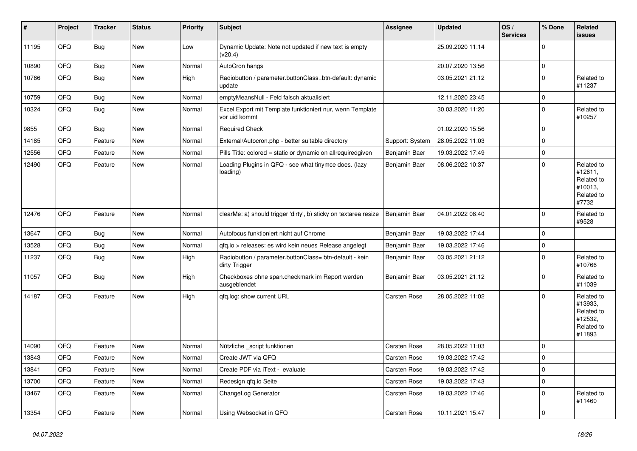| #     | Project | <b>Tracker</b> | <b>Status</b> | <b>Priority</b> | <b>Subject</b>                                                             | <b>Assignee</b> | <b>Updated</b>   | OS/<br><b>Services</b> | % Done      | Related<br>issues                                                      |
|-------|---------|----------------|---------------|-----------------|----------------------------------------------------------------------------|-----------------|------------------|------------------------|-------------|------------------------------------------------------------------------|
| 11195 | QFQ     | <b>Bug</b>     | New           | Low             | Dynamic Update: Note not updated if new text is empty<br>(v20.4)           |                 | 25.09.2020 11:14 |                        | $\Omega$    |                                                                        |
| 10890 | QFQ     | Bug            | <b>New</b>    | Normal          | AutoCron hangs                                                             |                 | 20.07.2020 13:56 |                        | $\mathbf 0$ |                                                                        |
| 10766 | QFQ     | <b>Bug</b>     | New           | High            | Radiobutton / parameter.buttonClass=btn-default: dynamic<br>update         |                 | 03.05.2021 21:12 |                        | $\Omega$    | Related to<br>#11237                                                   |
| 10759 | QFQ     | Bug            | <b>New</b>    | Normal          | emptyMeansNull - Feld falsch aktualisiert                                  |                 | 12.11.2020 23:45 |                        | $\Omega$    |                                                                        |
| 10324 | QFQ     | <b>Bug</b>     | New           | Normal          | Excel Export mit Template funktioniert nur, wenn Template<br>vor uid kommt |                 | 30.03.2020 11:20 |                        | $\mathbf 0$ | Related to<br>#10257                                                   |
| 9855  | QFQ     | Bug            | <b>New</b>    | Normal          | <b>Required Check</b>                                                      |                 | 01.02.2020 15:56 |                        | $\Omega$    |                                                                        |
| 14185 | QFQ     | Feature        | New           | Normal          | External/Autocron.php - better suitable directory                          | Support: System | 28.05.2022 11:03 |                        | $\Omega$    |                                                                        |
| 12556 | QFQ     | Feature        | <b>New</b>    | Normal          | Pills Title: colored = static or dynamic on allrequiredgiven               | Benjamin Baer   | 19.03.2022 17:49 |                        | $\Omega$    |                                                                        |
| 12490 | QFQ     | Feature        | New           | Normal          | Loading Plugins in QFQ - see what tinymce does. (lazy<br>loading)          | Benjamin Baer   | 08.06.2022 10:37 |                        | $\Omega$    | Related to<br>#12611,<br>Related to<br>#10013,<br>Related to<br>#7732  |
| 12476 | QFQ     | Feature        | <b>New</b>    | Normal          | clearMe: a) should trigger 'dirty', b) sticky on textarea resize           | Benjamin Baer   | 04.01.2022 08:40 |                        | $\Omega$    | Related to<br>#9528                                                    |
| 13647 | QFQ     | Bug            | New           | Normal          | Autofocus funktioniert nicht auf Chrome                                    | Benjamin Baer   | 19.03.2022 17:44 |                        | $\Omega$    |                                                                        |
| 13528 | QFQ     | Bug            | New           | Normal          | qfq.io > releases: es wird kein neues Release angelegt                     | Benjamin Baer   | 19.03.2022 17:46 |                        | $\mathbf 0$ |                                                                        |
| 11237 | QFQ     | <b>Bug</b>     | <b>New</b>    | High            | Radiobutton / parameter.buttonClass= btn-default - kein<br>dirty Trigger   | Benjamin Baer   | 03.05.2021 21:12 |                        | $\Omega$    | Related to<br>#10766                                                   |
| 11057 | QFQ     | <b>Bug</b>     | New           | High            | Checkboxes ohne span.checkmark im Report werden<br>ausgeblendet            | Benjamin Baer   | 03.05.2021 21:12 |                        | $\Omega$    | Related to<br>#11039                                                   |
| 14187 | QFQ     | Feature        | New           | High            | qfq.log: show current URL                                                  | Carsten Rose    | 28.05.2022 11:02 |                        | $\Omega$    | Related to<br>#13933,<br>Related to<br>#12532,<br>Related to<br>#11893 |
| 14090 | QFQ     | Feature        | <b>New</b>    | Normal          | Nützliche _script funktionen                                               | Carsten Rose    | 28.05.2022 11:03 |                        | $\Omega$    |                                                                        |
| 13843 | QFQ     | Feature        | <b>New</b>    | Normal          | Create JWT via QFQ                                                         | Carsten Rose    | 19.03.2022 17:42 |                        | $\Omega$    |                                                                        |
| 13841 | QFQ     | Feature        | New           | Normal          | Create PDF via iText - evaluate                                            | Carsten Rose    | 19.03.2022 17:42 |                        | 0           |                                                                        |
| 13700 | QFQ     | Feature        | New           | Normal          | Redesign qfq.io Seite                                                      | Carsten Rose    | 19.03.2022 17:43 |                        | 0           |                                                                        |
| 13467 | QFQ     | Feature        | New           | Normal          | ChangeLog Generator                                                        | Carsten Rose    | 19.03.2022 17:46 |                        | 0           | Related to<br>#11460                                                   |
| 13354 | QFQ     | Feature        | New           | Normal          | Using Websocket in QFQ                                                     | Carsten Rose    | 10.11.2021 15:47 |                        | $\pmb{0}$   |                                                                        |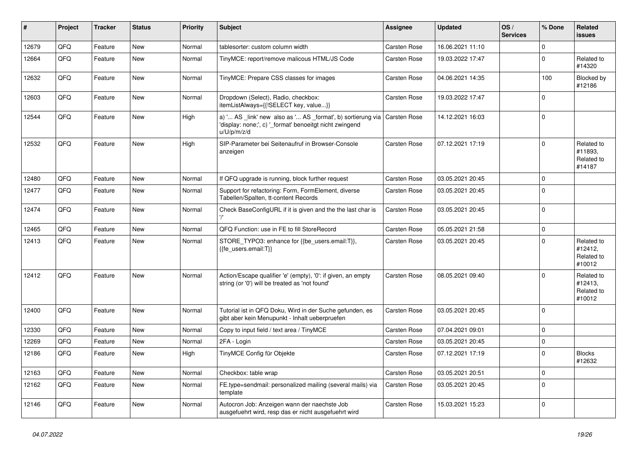| #     | Project | <b>Tracker</b> | <b>Status</b> | <b>Priority</b> | <b>Subject</b>                                                                                                                                     | <b>Assignee</b> | <b>Updated</b>   | OS/<br><b>Services</b> | % Done      | <b>Related</b><br><b>issues</b>               |
|-------|---------|----------------|---------------|-----------------|----------------------------------------------------------------------------------------------------------------------------------------------------|-----------------|------------------|------------------------|-------------|-----------------------------------------------|
| 12679 | QFQ     | Feature        | <b>New</b>    | Normal          | tablesorter: custom column width                                                                                                                   | Carsten Rose    | 16.06.2021 11:10 |                        | $\mathbf 0$ |                                               |
| 12664 | QFQ     | Feature        | New           | Normal          | TinyMCE: report/remove malicous HTML/JS Code                                                                                                       | Carsten Rose    | 19.03.2022 17:47 |                        | $\Omega$    | Related to<br>#14320                          |
| 12632 | QFQ     | Feature        | New           | Normal          | TinyMCE: Prepare CSS classes for images                                                                                                            | Carsten Rose    | 04.06.2021 14:35 |                        | 100         | Blocked by<br>#12186                          |
| 12603 | QFQ     | Feature        | New           | Normal          | Dropdown (Select), Radio, checkbox:<br>itemListAlways={{!SELECT key, value}}                                                                       | Carsten Rose    | 19.03.2022 17:47 |                        | $\Omega$    |                                               |
| 12544 | QFQ     | Feature        | <b>New</b>    | Hiah            | a) ' AS _link' new also as ' AS _format', b) sortierung via Carsten Rose<br>'display: none;', c) ' format' benoeitgt nicht zwingend<br>u/U/p/m/z/d |                 | 14.12.2021 16:03 |                        | $\Omega$    |                                               |
| 12532 | QFQ     | Feature        | <b>New</b>    | High            | SIP-Parameter bei Seitenaufruf in Browser-Console<br>anzeigen                                                                                      | Carsten Rose    | 07.12.2021 17:19 |                        | $\Omega$    | Related to<br>#11893,<br>Related to<br>#14187 |
| 12480 | QFQ     | Feature        | <b>New</b>    | Normal          | If QFQ upgrade is running, block further request                                                                                                   | Carsten Rose    | 03.05.2021 20:45 |                        | $\Omega$    |                                               |
| 12477 | QFQ     | Feature        | New           | Normal          | Support for refactoring: Form, FormElement, diverse<br>Tabellen/Spalten, tt-content Records                                                        | Carsten Rose    | 03.05.2021 20:45 |                        | $\Omega$    |                                               |
| 12474 | QFQ     | Feature        | <b>New</b>    | Normal          | Check BaseConfigURL if it is given and the the last char is                                                                                        | Carsten Rose    | 03.05.2021 20:45 |                        | $\Omega$    |                                               |
| 12465 | QFQ     | Feature        | <b>New</b>    | Normal          | QFQ Function: use in FE to fill StoreRecord                                                                                                        | Carsten Rose    | 05.05.2021 21:58 |                        | $\Omega$    |                                               |
| 12413 | QFQ     | Feature        | <b>New</b>    | Normal          | STORE_TYPO3: enhance for {{be_users.email:T}},<br>{{fe users.email:T}}                                                                             | Carsten Rose    | 03.05.2021 20:45 |                        | $\Omega$    | Related to<br>#12412,<br>Related to<br>#10012 |
| 12412 | QFQ     | Feature        | <b>New</b>    | Normal          | Action/Escape qualifier 'e' (empty), '0': if given, an empty<br>string (or '0') will be treated as 'not found'                                     | Carsten Rose    | 08.05.2021 09:40 |                        | $\Omega$    | Related to<br>#12413,<br>Related to<br>#10012 |
| 12400 | QFQ     | Feature        | New           | Normal          | Tutorial ist in QFQ Doku, Wird in der Suche gefunden, es<br>gibt aber kein Menupunkt - Inhalt ueberpruefen                                         | Carsten Rose    | 03.05.2021 20:45 |                        | $\Omega$    |                                               |
| 12330 | QFQ     | Feature        | New           | Normal          | Copy to input field / text area / TinyMCE                                                                                                          | Carsten Rose    | 07.04.2021 09:01 |                        | $\Omega$    |                                               |
| 12269 | QFQ     | Feature        | New           | Normal          | 2FA - Login                                                                                                                                        | Carsten Rose    | 03.05.2021 20:45 |                        | $\mathbf 0$ |                                               |
| 12186 | QFQ     | Feature        | New           | High            | TinyMCE Config für Objekte                                                                                                                         | Carsten Rose    | 07.12.2021 17:19 |                        | $\Omega$    | <b>Blocks</b><br>#12632                       |
| 12163 | QFQ     | Feature        | New           | Normal          | Checkbox: table wrap                                                                                                                               | Carsten Rose    | 03.05.2021 20:51 |                        | $\Omega$    |                                               |
| 12162 | QFQ     | Feature        | <b>New</b>    | Normal          | FE.type=sendmail: personalized mailing (several mails) via<br>template                                                                             | Carsten Rose    | 03.05.2021 20:45 |                        | $\Omega$    |                                               |
| 12146 | QFQ     | Feature        | <b>New</b>    | Normal          | Autocron Job: Anzeigen wann der naechste Job<br>ausgefuehrt wird, resp das er nicht ausgefuehrt wird                                               | Carsten Rose    | 15.03.2021 15:23 |                        | $\Omega$    |                                               |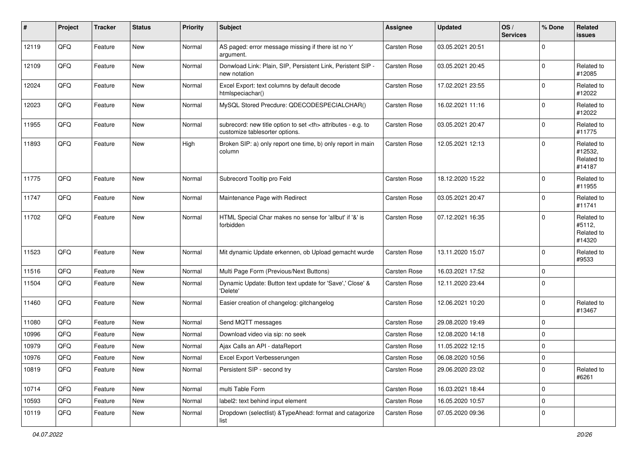| #     | Project | <b>Tracker</b> | <b>Status</b> | Priority | <b>Subject</b>                                                                                       | <b>Assignee</b>                                        | <b>Updated</b>   | OS/<br><b>Services</b> | % Done      | <b>Related</b><br>issues                      |                      |
|-------|---------|----------------|---------------|----------|------------------------------------------------------------------------------------------------------|--------------------------------------------------------|------------------|------------------------|-------------|-----------------------------------------------|----------------------|
| 12119 | QFQ     | Feature        | New           | Normal   | AS paged: error message missing if there ist no 'r'<br>argument.                                     | Carsten Rose                                           | 03.05.2021 20:51 |                        | $\mathbf 0$ |                                               |                      |
| 12109 | QFQ     | Feature        | New           | Normal   | Donwload Link: Plain, SIP, Persistent Link, Peristent SIP -<br>new notation                          | Carsten Rose                                           | 03.05.2021 20:45 |                        | $\Omega$    | Related to<br>#12085                          |                      |
| 12024 | QFQ     | Feature        | New           | Normal   | Excel Export: text columns by default decode<br>htmlspeciachar()                                     | Carsten Rose                                           | 17.02.2021 23:55 |                        | $\mathbf 0$ | Related to<br>#12022                          |                      |
| 12023 | QFQ     | Feature        | <b>New</b>    | Normal   | MySQL Stored Precdure: QDECODESPECIALCHAR()                                                          | Carsten Rose                                           | 16.02.2021 11:16 |                        | $\mathbf 0$ | Related to<br>#12022                          |                      |
| 11955 | QFQ     | Feature        | New           | Normal   | subrecord: new title option to set <th> attributes - e.g. to<br/>customize tablesorter options.</th> | attributes - e.g. to<br>customize tablesorter options. | Carsten Rose     | 03.05.2021 20:47       |             | $\Omega$                                      | Related to<br>#11775 |
| 11893 | QFQ     | Feature        | <b>New</b>    | High     | Broken SIP: a) only report one time, b) only report in main<br>column                                | Carsten Rose                                           | 12.05.2021 12:13 |                        | $\mathbf 0$ | Related to<br>#12532,<br>Related to<br>#14187 |                      |
| 11775 | QFQ     | Feature        | <b>New</b>    | Normal   | Subrecord Tooltip pro Feld                                                                           | Carsten Rose                                           | 18.12.2020 15:22 |                        | $\Omega$    | Related to<br>#11955                          |                      |
| 11747 | QFQ     | Feature        | New           | Normal   | Maintenance Page with Redirect                                                                       | Carsten Rose                                           | 03.05.2021 20:47 |                        | $\Omega$    | Related to<br>#11741                          |                      |
| 11702 | QFQ     | Feature        | <b>New</b>    | Normal   | HTML Special Char makes no sense for 'allbut' if '&' is<br>forbidden                                 | Carsten Rose                                           | 07.12.2021 16:35 |                        | $\Omega$    | Related to<br>#5112,<br>Related to<br>#14320  |                      |
| 11523 | QFQ     | Feature        | New           | Normal   | Mit dynamic Update erkennen, ob Upload gemacht wurde                                                 | <b>Carsten Rose</b>                                    | 13.11.2020 15:07 |                        | $\Omega$    | Related to<br>#9533                           |                      |
| 11516 | QFQ     | Feature        | <b>New</b>    | Normal   | Multi Page Form (Previous/Next Buttons)                                                              | Carsten Rose                                           | 16.03.2021 17:52 |                        | $\Omega$    |                                               |                      |
| 11504 | QFQ     | Feature        | New           | Normal   | Dynamic Update: Button text update for 'Save',' Close' &<br>'Delete'                                 | Carsten Rose                                           | 12.11.2020 23:44 |                        | $\Omega$    |                                               |                      |
| 11460 | QFQ     | Feature        | New           | Normal   | Easier creation of changelog: gitchangelog                                                           | Carsten Rose                                           | 12.06.2021 10:20 |                        | $\Omega$    | Related to<br>#13467                          |                      |
| 11080 | QFQ     | Feature        | <b>New</b>    | Normal   | Send MQTT messages                                                                                   | Carsten Rose                                           | 29.08.2020 19:49 |                        | $\mathbf 0$ |                                               |                      |
| 10996 | QFQ     | Feature        | New           | Normal   | Download video via sip: no seek                                                                      | Carsten Rose                                           | 12.08.2020 14:18 |                        | $\mathbf 0$ |                                               |                      |
| 10979 | QFQ     | Feature        | <b>New</b>    | Normal   | Ajax Calls an API - dataReport                                                                       | <b>Carsten Rose</b>                                    | 11.05.2022 12:15 |                        | 0           |                                               |                      |
| 10976 | QFQ     | Feature        | New           | Normal   | Excel Export Verbesserungen                                                                          | <b>Carsten Rose</b>                                    | 06.08.2020 10:56 |                        | $\Omega$    |                                               |                      |
| 10819 | QFQ     | Feature        | New           | Normal   | Persistent SIP - second try                                                                          | Carsten Rose                                           | 29.06.2020 23:02 |                        | 0           | Related to<br>#6261                           |                      |
| 10714 | QFQ     | Feature        | <b>New</b>    | Normal   | multi Table Form                                                                                     | Carsten Rose                                           | 16.03.2021 18:44 |                        | 0           |                                               |                      |
| 10593 | QFQ     | Feature        | New           | Normal   | label2: text behind input element                                                                    | Carsten Rose                                           | 16.05.2020 10:57 |                        | 0           |                                               |                      |
| 10119 | QFQ     | Feature        | New           | Normal   | Dropdown (selectlist) & TypeAhead: format and catagorize<br>list                                     | Carsten Rose                                           | 07.05.2020 09:36 |                        | 0           |                                               |                      |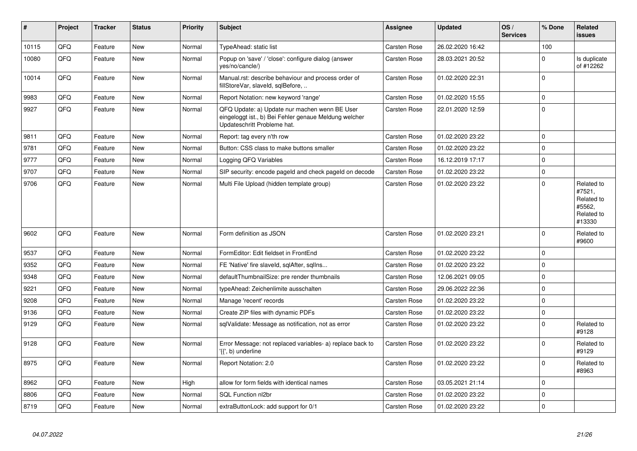| #     | <b>Project</b> | <b>Tracker</b> | <b>Status</b> | <b>Priority</b> | <b>Subject</b>                                                                                                                        | <b>Assignee</b> | <b>Updated</b>   | OS/<br><b>Services</b> | % Done      | Related<br><b>issues</b>                                             |
|-------|----------------|----------------|---------------|-----------------|---------------------------------------------------------------------------------------------------------------------------------------|-----------------|------------------|------------------------|-------------|----------------------------------------------------------------------|
| 10115 | QFQ            | Feature        | <b>New</b>    | Normal          | TypeAhead: static list                                                                                                                | Carsten Rose    | 26.02.2020 16:42 |                        | 100         |                                                                      |
| 10080 | QFQ            | Feature        | New           | Normal          | Popup on 'save' / 'close': configure dialog (answer<br>yes/no/cancle/)                                                                | Carsten Rose    | 28.03.2021 20:52 |                        | $\Omega$    | Is duplicate<br>of #12262                                            |
| 10014 | QFQ            | Feature        | New           | Normal          | Manual.rst: describe behaviour and process order of<br>fillStoreVar, slaveId, sqlBefore,                                              | Carsten Rose    | 01.02.2020 22:31 |                        | $\mathbf 0$ |                                                                      |
| 9983  | QFQ            | Feature        | <b>New</b>    | Normal          | Report Notation: new keyword 'range'                                                                                                  | Carsten Rose    | 01.02.2020 15:55 |                        | $\mathbf 0$ |                                                                      |
| 9927  | QFQ            | Feature        | New           | Normal          | QFQ Update: a) Update nur machen wenn BE User<br>eingeloggt ist., b) Bei Fehler genaue Meldung welcher<br>Updateschritt Probleme hat. | Carsten Rose    | 22.01.2020 12:59 |                        | $\pmb{0}$   |                                                                      |
| 9811  | QFQ            | Feature        | <b>New</b>    | Normal          | Report: tag every n'th row                                                                                                            | Carsten Rose    | 01.02.2020 23:22 |                        | $\mathbf 0$ |                                                                      |
| 9781  | QFQ            | Feature        | <b>New</b>    | Normal          | Button: CSS class to make buttons smaller                                                                                             | Carsten Rose    | 01.02.2020 23:22 |                        | $\mathbf 0$ |                                                                      |
| 9777  | QFQ            | Feature        | <b>New</b>    | Normal          | Logging QFQ Variables                                                                                                                 | Carsten Rose    | 16.12.2019 17:17 |                        | $\mathbf 0$ |                                                                      |
| 9707  | QFQ            | Feature        | <b>New</b>    | Normal          | SIP security: encode pageld and check pageld on decode                                                                                | Carsten Rose    | 01.02.2020 23:22 |                        | $\pmb{0}$   |                                                                      |
| 9706  | QFQ            | Feature        | <b>New</b>    | Normal          | Multi File Upload (hidden template group)                                                                                             | Carsten Rose    | 01.02.2020 23:22 |                        | $\mathbf 0$ | Related to<br>#7521,<br>Related to<br>#5562,<br>Related to<br>#13330 |
| 9602  | QFQ            | Feature        | New           | Normal          | Form definition as JSON                                                                                                               | Carsten Rose    | 01.02.2020 23:21 |                        | $\mathbf 0$ | Related to<br>#9600                                                  |
| 9537  | QFQ            | Feature        | <b>New</b>    | Normal          | FormEditor: Edit fieldset in FrontEnd                                                                                                 | Carsten Rose    | 01.02.2020 23:22 |                        | $\mathbf 0$ |                                                                      |
| 9352  | QFQ            | Feature        | New           | Normal          | FE 'Native' fire slaveld, sqlAfter, sqlIns                                                                                            | Carsten Rose    | 01.02.2020 23:22 |                        | $\Omega$    |                                                                      |
| 9348  | QFQ            | Feature        | <b>New</b>    | Normal          | defaultThumbnailSize: pre render thumbnails                                                                                           | Carsten Rose    | 12.06.2021 09:05 |                        | $\mathbf 0$ |                                                                      |
| 9221  | QFQ            | Feature        | <b>New</b>    | Normal          | typeAhead: Zeichenlimite ausschalten                                                                                                  | Carsten Rose    | 29.06.2022 22:36 |                        | $\mathbf 0$ |                                                                      |
| 9208  | QFQ            | Feature        | New           | Normal          | Manage 'recent' records                                                                                                               | Carsten Rose    | 01.02.2020 23:22 |                        | $\mathbf 0$ |                                                                      |
| 9136  | QFQ            | Feature        | <b>New</b>    | Normal          | Create ZIP files with dynamic PDFs                                                                                                    | Carsten Rose    | 01.02.2020 23:22 |                        | $\mathbf 0$ |                                                                      |
| 9129  | QFQ            | Feature        | New           | Normal          | sqlValidate: Message as notification, not as error                                                                                    | Carsten Rose    | 01.02.2020 23:22 |                        | $\mathbf 0$ | Related to<br>#9128                                                  |
| 9128  | QFQ            | Feature        | New           | Normal          | Error Message: not replaced variables- a) replace back to<br>'{{', b) underline                                                       | Carsten Rose    | 01.02.2020 23:22 |                        | $\mathbf 0$ | Related to<br>#9129                                                  |
| 8975  | QFQ            | Feature        | New           | Normal          | Report Notation: 2.0                                                                                                                  | Carsten Rose    | 01.02.2020 23:22 |                        | $\mathbf 0$ | Related to<br>#8963                                                  |
| 8962  | QFQ            | Feature        | <b>New</b>    | High            | allow for form fields with identical names                                                                                            | Carsten Rose    | 03.05.2021 21:14 |                        | $\mathbf 0$ |                                                                      |
| 8806  | QFQ            | Feature        | <b>New</b>    | Normal          | SQL Function nl2br                                                                                                                    | Carsten Rose    | 01.02.2020 23:22 |                        | $\mathbf 0$ |                                                                      |
| 8719  | QFQ            | Feature        | New           | Normal          | extraButtonLock: add support for 0/1                                                                                                  | Carsten Rose    | 01.02.2020 23:22 |                        | $\mathbf 0$ |                                                                      |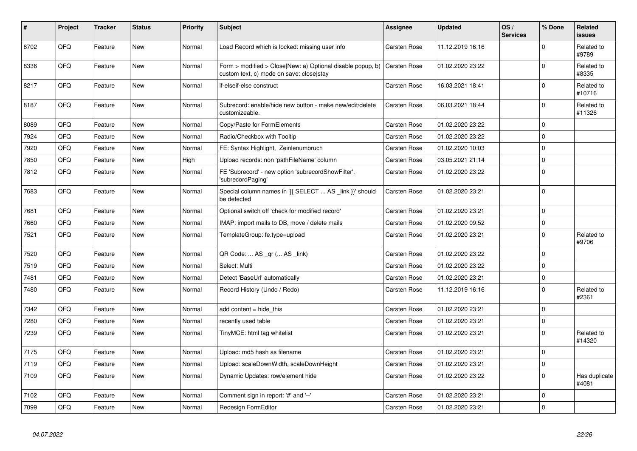| $\sharp$ | Project | <b>Tracker</b> | <b>Status</b> | <b>Priority</b> | <b>Subject</b>                                                                                         | <b>Assignee</b>     | <b>Updated</b>   | OS/<br><b>Services</b> | % Done      | Related<br><b>issues</b> |
|----------|---------|----------------|---------------|-----------------|--------------------------------------------------------------------------------------------------------|---------------------|------------------|------------------------|-------------|--------------------------|
| 8702     | QFQ     | Feature        | <b>New</b>    | Normal          | Load Record which is locked: missing user info                                                         | Carsten Rose        | 11.12.2019 16:16 |                        | $\mathbf 0$ | Related to<br>#9789      |
| 8336     | QFQ     | Feature        | <b>New</b>    | Normal          | Form > modified > Close New: a) Optional disable popup, b)<br>custom text, c) mode on save: closelstay | Carsten Rose        | 01.02.2020 23:22 |                        | $\mathbf 0$ | Related to<br>#8335      |
| 8217     | QFQ     | Feature        | New           | Normal          | if-elseif-else construct                                                                               | Carsten Rose        | 16.03.2021 18:41 |                        | $\mathbf 0$ | Related to<br>#10716     |
| 8187     | QFQ     | Feature        | New           | Normal          | Subrecord: enable/hide new button - make new/edit/delete<br>customizeable.                             | Carsten Rose        | 06.03.2021 18:44 |                        | $\mathbf 0$ | Related to<br>#11326     |
| 8089     | QFQ     | Feature        | New           | Normal          | Copy/Paste for FormElements                                                                            | <b>Carsten Rose</b> | 01.02.2020 23:22 |                        | $\mathbf 0$ |                          |
| 7924     | QFQ     | Feature        | New           | Normal          | Radio/Checkbox with Tooltip                                                                            | Carsten Rose        | 01.02.2020 23:22 |                        | $\mathbf 0$ |                          |
| 7920     | QFQ     | Feature        | New           | Normal          | FE: Syntax Highlight, Zeinlenumbruch                                                                   | Carsten Rose        | 01.02.2020 10:03 |                        | $\mathbf 0$ |                          |
| 7850     | QFQ     | Feature        | <b>New</b>    | High            | Upload records: non 'pathFileName' column                                                              | Carsten Rose        | 03.05.2021 21:14 |                        | $\mathbf 0$ |                          |
| 7812     | QFQ     | Feature        | New           | Normal          | FE 'Subrecord' - new option 'subrecordShowFilter',<br>'subrecordPaging'                                | Carsten Rose        | 01.02.2020 23:22 |                        | $\mathbf 0$ |                          |
| 7683     | QFQ     | Feature        | New           | Normal          | Special column names in '{{ SELECT  AS _link }}' should<br>be detected                                 | Carsten Rose        | 01.02.2020 23:21 |                        | $\pmb{0}$   |                          |
| 7681     | QFQ     | Feature        | New           | Normal          | Optional switch off 'check for modified record'                                                        | Carsten Rose        | 01.02.2020 23:21 |                        | $\mathbf 0$ |                          |
| 7660     | QFQ     | Feature        | <b>New</b>    | Normal          | IMAP: import mails to DB, move / delete mails                                                          | Carsten Rose        | 01.02.2020 09:52 |                        | $\mathbf 0$ |                          |
| 7521     | QFQ     | Feature        | New           | Normal          | TemplateGroup: fe.type=upload                                                                          | Carsten Rose        | 01.02.2020 23:21 |                        | $\pmb{0}$   | Related to<br>#9706      |
| 7520     | QFQ     | Feature        | New           | Normal          | QR Code:  AS _qr ( AS _link)                                                                           | Carsten Rose        | 01.02.2020 23:22 |                        | 0           |                          |
| 7519     | QFQ     | Feature        | <b>New</b>    | Normal          | Select: Multi                                                                                          | Carsten Rose        | 01.02.2020 23:22 |                        | $\mathbf 0$ |                          |
| 7481     | QFQ     | Feature        | New           | Normal          | Detect 'BaseUrl' automatically                                                                         | Carsten Rose        | 01.02.2020 23:21 |                        | $\pmb{0}$   |                          |
| 7480     | QFQ     | Feature        | <b>New</b>    | Normal          | Record History (Undo / Redo)                                                                           | <b>Carsten Rose</b> | 11.12.2019 16:16 |                        | $\mathbf 0$ | Related to<br>#2361      |
| 7342     | QFQ     | Feature        | <b>New</b>    | Normal          | add content = hide_this                                                                                | <b>Carsten Rose</b> | 01.02.2020 23:21 |                        | $\mathbf 0$ |                          |
| 7280     | QFQ     | Feature        | New           | Normal          | recently used table                                                                                    | Carsten Rose        | 01.02.2020 23:21 |                        | 0           |                          |
| 7239     | QFQ     | Feature        | <b>New</b>    | Normal          | TinyMCE: html tag whitelist                                                                            | <b>Carsten Rose</b> | 01.02.2020 23:21 |                        | $\mathbf 0$ | Related to<br>#14320     |
| 7175     | QFQ     | Feature        | New           | Normal          | Upload: md5 hash as filename                                                                           | Carsten Rose        | 01.02.2020 23:21 |                        | $\mathbf 0$ |                          |
| 7119     | QFQ     | Feature        | New           | Normal          | Upload: scaleDownWidth, scaleDownHeight                                                                | Carsten Rose        | 01.02.2020 23:21 |                        | 0           |                          |
| 7109     | QFQ     | Feature        | <b>New</b>    | Normal          | Dynamic Updates: row/element hide                                                                      | Carsten Rose        | 01.02.2020 23:22 |                        | $\mathbf 0$ | Has duplicate<br>#4081   |
| 7102     | QFQ     | Feature        | New           | Normal          | Comment sign in report: '#' and '--'                                                                   | Carsten Rose        | 01.02.2020 23:21 |                        | $\mathbf 0$ |                          |
| 7099     | QFQ     | Feature        | New           | Normal          | Redesign FormEditor                                                                                    | Carsten Rose        | 01.02.2020 23:21 |                        | $\mathbf 0$ |                          |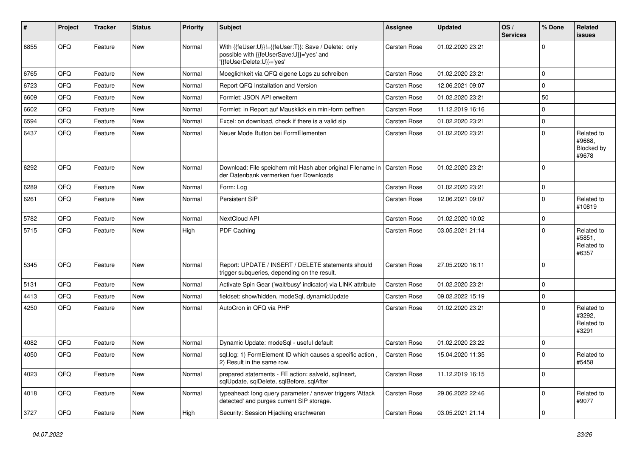| ∦    | Project | <b>Tracker</b> | <b>Status</b> | Priority | <b>Subject</b>                                                                                                                | <b>Assignee</b>     | <b>Updated</b>   | OS/<br><b>Services</b> | % Done    | <b>Related</b><br>issues                    |
|------|---------|----------------|---------------|----------|-------------------------------------------------------------------------------------------------------------------------------|---------------------|------------------|------------------------|-----------|---------------------------------------------|
| 6855 | QFQ     | Feature        | New           | Normal   | With {{feUser:U}}!={{feUser:T}}: Save / Delete: only<br>possible with {{feUserSave:U}}='yes' and<br>'{{feUserDelete:U}}='yes' | <b>Carsten Rose</b> | 01.02.2020 23:21 |                        | $\Omega$  |                                             |
| 6765 | QFQ     | Feature        | New           | Normal   | Moeglichkeit via QFQ eigene Logs zu schreiben                                                                                 | <b>Carsten Rose</b> | 01.02.2020 23:21 |                        | $\Omega$  |                                             |
| 6723 | QFQ     | Feature        | New           | Normal   | Report QFQ Installation and Version                                                                                           | Carsten Rose        | 12.06.2021 09:07 |                        | $\Omega$  |                                             |
| 6609 | QFQ     | Feature        | New           | Normal   | Formlet: JSON API erweitern                                                                                                   | Carsten Rose        | 01.02.2020 23:21 |                        | 50        |                                             |
| 6602 | QFQ     | Feature        | <b>New</b>    | Normal   | Formlet: in Report auf Mausklick ein mini-form oeffnen                                                                        | Carsten Rose        | 11.12.2019 16:16 |                        | 0         |                                             |
| 6594 | QFQ     | Feature        | New           | Normal   | Excel: on download, check if there is a valid sip                                                                             | Carsten Rose        | 01.02.2020 23:21 |                        | 0         |                                             |
| 6437 | QFQ     | Feature        | <b>New</b>    | Normal   | Neuer Mode Button bei FormElementen                                                                                           | Carsten Rose        | 01.02.2020 23:21 |                        | $\Omega$  | Related to<br>#9668,<br>Blocked by<br>#9678 |
| 6292 | QFQ     | Feature        | <b>New</b>    | Normal   | Download: File speichern mit Hash aber original Filename in   Carsten Rose<br>der Datenbank vermerken fuer Downloads          |                     | 01.02.2020 23:21 |                        | $\Omega$  |                                             |
| 6289 | QFQ     | Feature        | New           | Normal   | Form: Log                                                                                                                     | <b>Carsten Rose</b> | 01.02.2020 23:21 |                        | 0         |                                             |
| 6261 | QFQ     | Feature        | <b>New</b>    | Normal   | Persistent SIP                                                                                                                | Carsten Rose        | 12.06.2021 09:07 |                        | $\Omega$  | Related to<br>#10819                        |
| 5782 | QFQ     | Feature        | <b>New</b>    | Normal   | NextCloud API                                                                                                                 | <b>Carsten Rose</b> | 01.02.2020 10:02 |                        | 0         |                                             |
| 5715 | QFQ     | Feature        | New           | High     | PDF Caching                                                                                                                   | Carsten Rose        | 03.05.2021 21:14 |                        | $\Omega$  | Related to<br>#5851,<br>Related to<br>#6357 |
| 5345 | QFQ     | Feature        | New           | Normal   | Report: UPDATE / INSERT / DELETE statements should<br>trigger subqueries, depending on the result.                            | Carsten Rose        | 27.05.2020 16:11 |                        | $\Omega$  |                                             |
| 5131 | QFQ     | Feature        | <b>New</b>    | Normal   | Activate Spin Gear ('wait/busy' indicator) via LINK attribute                                                                 | Carsten Rose        | 01.02.2020 23:21 |                        | $\Omega$  |                                             |
| 4413 | QFQ     | Feature        | New           | Normal   | fieldset: show/hidden, modeSql, dynamicUpdate                                                                                 | Carsten Rose        | 09.02.2022 15:19 |                        | 0         |                                             |
| 4250 | QFQ     | Feature        | <b>New</b>    | Normal   | AutoCron in QFQ via PHP                                                                                                       | Carsten Rose        | 01.02.2020 23:21 |                        | $\Omega$  | Related to<br>#3292,<br>Related to<br>#3291 |
| 4082 | QFQ     | Feature        | New           | Normal   | Dynamic Update: modeSql - useful default                                                                                      | Carsten Rose        | 01.02.2020 23:22 |                        | $\Omega$  |                                             |
| 4050 | QFQ     | Feature        | New           | Normal   | sql.log: 1) FormElement ID which causes a specific action,<br>2) Result in the same row.                                      | Carsten Rose        | 15.04.2020 11:35 |                        | $\Omega$  | Related to<br>#5458                         |
| 4023 | QFQ     | Feature        | New           | Normal   | prepared statements - FE action: salveld, sqlInsert,<br>sqlUpdate, sqlDelete, sqlBefore, sqlAfter                             | Carsten Rose        | 11.12.2019 16:15 |                        | 0         |                                             |
| 4018 | QFQ     | Feature        | New           | Normal   | typeahead: long query parameter / answer triggers 'Attack<br>detected' and purges current SIP storage.                        | Carsten Rose        | 29.06.2022 22:46 |                        | $\pmb{0}$ | Related to<br>#9077                         |
| 3727 | QFQ     | Feature        | New           | High     | Security: Session Hijacking erschweren                                                                                        | Carsten Rose        | 03.05.2021 21:14 |                        | 0         |                                             |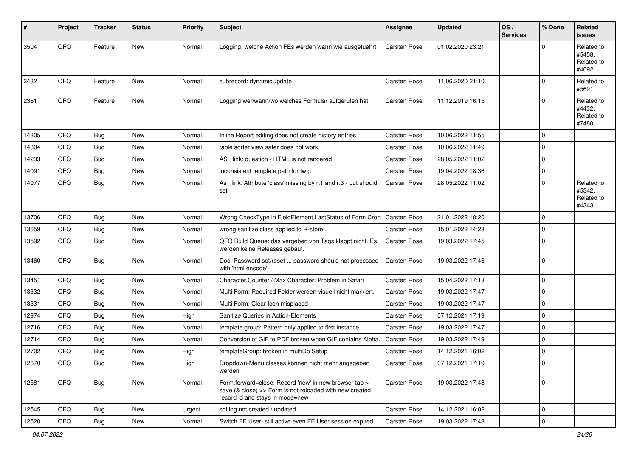| #     | Project | <b>Tracker</b> | <b>Status</b> | Priority | <b>Subject</b>                                                                                                                                      | <b>Assignee</b>     | <b>Updated</b>   | OS/<br><b>Services</b> | % Done      | Related<br>issues                           |
|-------|---------|----------------|---------------|----------|-----------------------------------------------------------------------------------------------------------------------------------------------------|---------------------|------------------|------------------------|-------------|---------------------------------------------|
| 3504  | QFQ     | Feature        | <b>New</b>    | Normal   | Logging: welche Action FEs werden wann wie ausgefuehrt                                                                                              | Carsten Rose        | 01.02.2020 23:21 |                        | $\Omega$    | Related to<br>#5458,<br>Related to<br>#4092 |
| 3432  | QFQ     | Feature        | New           | Normal   | subrecord: dynamicUpdate                                                                                                                            | Carsten Rose        | 11.06.2020 21:10 |                        | $\Omega$    | Related to<br>#5691                         |
| 2361  | QFQ     | Feature        | New           | Normal   | Logging wer/wann/wo welches Formular aufgerufen hat                                                                                                 | <b>Carsten Rose</b> | 11.12.2019 16:15 |                        | $\Omega$    | Related to<br>#4432,<br>Related to<br>#7480 |
| 14305 | QFQ     | Bug            | <b>New</b>    | Normal   | Inline Report editing does not create history entries                                                                                               | Carsten Rose        | 10.06.2022 11:55 |                        | $\Omega$    |                                             |
| 14304 | QFQ     | Bug            | New           | Normal   | table sorter view safer does not work                                                                                                               | Carsten Rose        | 10.06.2022 11:49 |                        | $\mathbf 0$ |                                             |
| 14233 | QFQ     | Bug            | <b>New</b>    | Normal   | AS link: question - HTML is not rendered                                                                                                            | Carsten Rose        | 28.05.2022 11:02 |                        | $\Omega$    |                                             |
| 14091 | QFQ     | <b>Bug</b>     | New           | Normal   | inconsistent template path for twig                                                                                                                 | Carsten Rose        | 19.04.2022 18:36 |                        | $\mathbf 0$ |                                             |
| 14077 | QFQ     | Bug            | New           | Normal   | As _link: Attribute 'class' missing by r:1 and r:3 - but should<br>set                                                                              | Carsten Rose        | 28.05.2022 11:02 |                        | $\Omega$    | Related to<br>#5342,<br>Related to<br>#4343 |
| 13706 | QFQ     | Bug            | New           | Normal   | Wrong CheckType in FieldElement LastStatus of Form Cron                                                                                             | Carsten Rose        | 21.01.2022 18:20 |                        | $\Omega$    |                                             |
| 13659 | QFQ     | Bug            | New           | Normal   | wrong sanitize class applied to R-store                                                                                                             | Carsten Rose        | 15.01.2022 14:23 |                        | $\Omega$    |                                             |
| 13592 | QFQ     | Bug            | New           | Normal   | QFQ Build Queue: das vergeben von Tags klappt nicht. Es<br>werden keine Releases gebaut.                                                            | Carsten Rose        | 19.03.2022 17:45 |                        | $\Omega$    |                                             |
| 13460 | QFQ     | <b>Bug</b>     | New           | Normal   | Doc: Password set/reset  password should not processed<br>with 'html encode'                                                                        | Carsten Rose        | 19.03.2022 17:46 |                        | $\Omega$    |                                             |
| 13451 | QFQ     | Bug            | New           | Normal   | Character Counter / Max Character: Problem in Safari                                                                                                | Carsten Rose        | 15.04.2022 17:18 |                        | $\mathbf 0$ |                                             |
| 13332 | QFQ     | <b>Bug</b>     | <b>New</b>    | Normal   | Multi Form: Required Felder werden visuell nicht markiert.                                                                                          | <b>Carsten Rose</b> | 19.03.2022 17:47 |                        | $\mathbf 0$ |                                             |
| 13331 | QFQ     | Bug            | New           | Normal   | Multi Form: Clear Icon misplaced                                                                                                                    | Carsten Rose        | 19.03.2022 17:47 |                        | $\Omega$    |                                             |
| 12974 | QFQ     | Bug            | <b>New</b>    | High     | Sanitize Queries in Action-Elements                                                                                                                 | Carsten Rose        | 07.12.2021 17:19 |                        | $\Omega$    |                                             |
| 12716 | QFQ     | Bug            | New           | Normal   | template group: Pattern only applied to first instance                                                                                              | Carsten Rose        | 19.03.2022 17:47 |                        | $\Omega$    |                                             |
| 12714 | QFQ     | <b>Bug</b>     | New           | Normal   | Conversion of GIF to PDF broken when GIF contains Alpha.                                                                                            | Carsten Rose        | 19.03.2022 17:49 |                        | $\mathbf 0$ |                                             |
| 12702 | QFQ     | Bug            | New           | High     | templateGroup: broken in multiDb Setup                                                                                                              | Carsten Rose        | 14.12.2021 16:02 |                        | $\Omega$    |                                             |
| 12670 | QFQ     | Bug            | New           | High     | Dropdown-Menu classes können nicht mehr angegeben<br>werden                                                                                         | Carsten Rose        | 07.12.2021 17:19 |                        | 0           |                                             |
| 12581 | QFQ     | <b>Bug</b>     | New           | Normal   | Form.forward=close: Record 'new' in new browser tab ><br>save (& close) >> Form is not reloaded with new created<br>record id and stays in mode=new | Carsten Rose        | 19.03.2022 17:48 |                        | 0           |                                             |
| 12545 | QFQ     | Bug            | New           | Urgent   | sql.log not created / updated                                                                                                                       | Carsten Rose        | 14.12.2021 16:02 |                        | 0           |                                             |
| 12520 | QFQ     | Bug            | New           | Normal   | Switch FE User: still active even FE User session expired                                                                                           | Carsten Rose        | 19.03.2022 17:48 |                        | $\pmb{0}$   |                                             |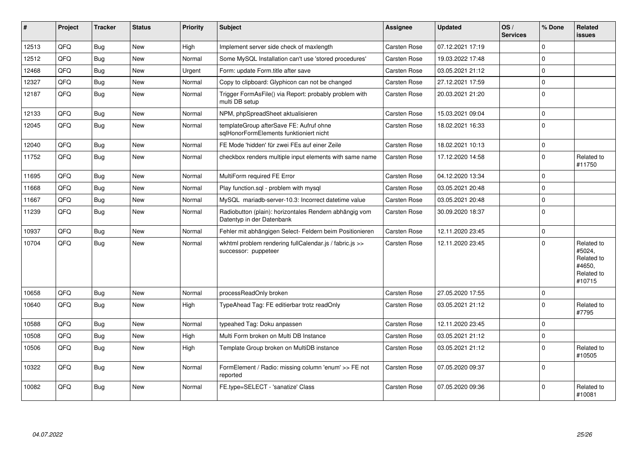| #     | Project | <b>Tracker</b> | <b>Status</b> | Priority | <b>Subject</b>                                                                      | <b>Assignee</b>     | <b>Updated</b>   | OS/<br><b>Services</b> | % Done      | <b>Related</b><br><b>issues</b>                                      |
|-------|---------|----------------|---------------|----------|-------------------------------------------------------------------------------------|---------------------|------------------|------------------------|-------------|----------------------------------------------------------------------|
| 12513 | QFQ     | <b>Bug</b>     | <b>New</b>    | Hiah     | Implement server side check of maxlength                                            | Carsten Rose        | 07.12.2021 17:19 |                        | $\Omega$    |                                                                      |
| 12512 | QFQ     | Bug            | <b>New</b>    | Normal   | Some MySQL Installation can't use 'stored procedures'                               | Carsten Rose        | 19.03.2022 17:48 |                        | $\Omega$    |                                                                      |
| 12468 | QFQ     | <b>Bug</b>     | <b>New</b>    | Urgent   | Form: update Form.title after save                                                  | Carsten Rose        | 03.05.2021 21:12 |                        | $\Omega$    |                                                                      |
| 12327 | QFQ     | <b>Bug</b>     | <b>New</b>    | Normal   | Copy to clipboard: Glyphicon can not be changed                                     | Carsten Rose        | 27.12.2021 17:59 |                        | $\Omega$    |                                                                      |
| 12187 | QFQ     | <b>Bug</b>     | <b>New</b>    | Normal   | Trigger FormAsFile() via Report: probably problem with<br>multi DB setup            | Carsten Rose        | 20.03.2021 21:20 |                        | $\Omega$    |                                                                      |
| 12133 | QFQ     | <b>Bug</b>     | <b>New</b>    | Normal   | NPM, phpSpreadSheet aktualisieren                                                   | Carsten Rose        | 15.03.2021 09:04 |                        | $\Omega$    |                                                                      |
| 12045 | QFQ     | <b>Bug</b>     | <b>New</b>    | Normal   | templateGroup afterSave FE: Aufruf ohne<br>sqlHonorFormElements funktioniert nicht  | Carsten Rose        | 18.02.2021 16:33 |                        | $\Omega$    |                                                                      |
| 12040 | QFQ     | <b>Bug</b>     | <b>New</b>    | Normal   | FE Mode 'hidden' für zwei FEs auf einer Zeile                                       | Carsten Rose        | 18.02.2021 10:13 |                        | 0           |                                                                      |
| 11752 | QFQ     | <b>Bug</b>     | <b>New</b>    | Normal   | checkbox renders multiple input elements with same name                             | Carsten Rose        | 17.12.2020 14:58 |                        | $\Omega$    | Related to<br>#11750                                                 |
| 11695 | QFQ     | Bug            | <b>New</b>    | Normal   | MultiForm required FE Error                                                         | Carsten Rose        | 04.12.2020 13:34 |                        | $\Omega$    |                                                                      |
| 11668 | QFQ     | <b>Bug</b>     | <b>New</b>    | Normal   | Play function.sql - problem with mysql                                              | Carsten Rose        | 03.05.2021 20:48 |                        | $\Omega$    |                                                                      |
| 11667 | QFQ     | <b>Bug</b>     | New           | Normal   | MySQL mariadb-server-10.3: Incorrect datetime value                                 | Carsten Rose        | 03.05.2021 20:48 |                        | $\Omega$    |                                                                      |
| 11239 | QFQ     | Bug            | <b>New</b>    | Normal   | Radiobutton (plain): horizontales Rendern abhängig vom<br>Datentyp in der Datenbank | Carsten Rose        | 30.09.2020 18:37 |                        | $\Omega$    |                                                                      |
| 10937 | QFQ     | Bug            | <b>New</b>    | Normal   | Fehler mit abhängigen Select- Feldern beim Positionieren                            | Carsten Rose        | 12.11.2020 23:45 |                        | $\mathbf 0$ |                                                                      |
| 10704 | QFQ     | Bug            | <b>New</b>    | Normal   | wkhtml problem rendering fullCalendar.js / fabric.js >><br>successor: puppeteer     | Carsten Rose        | 12.11.2020 23:45 |                        | $\Omega$    | Related to<br>#5024,<br>Related to<br>#4650,<br>Related to<br>#10715 |
| 10658 | QFQ     | Bug            | <b>New</b>    | Normal   | processReadOnly broken                                                              | Carsten Rose        | 27.05.2020 17:55 |                        | $\Omega$    |                                                                      |
| 10640 | QFQ     | Bug            | <b>New</b>    | High     | TypeAhead Tag: FE editierbar trotz readOnly                                         | Carsten Rose        | 03.05.2021 21:12 |                        | $\Omega$    | Related to<br>#7795                                                  |
| 10588 | QFQ     | Bug            | <b>New</b>    | Normal   | typeahed Tag: Doku anpassen                                                         | <b>Carsten Rose</b> | 12.11.2020 23:45 |                        | $\Omega$    |                                                                      |
| 10508 | QFQ     | <b>Bug</b>     | <b>New</b>    | High     | Multi Form broken on Multi DB Instance                                              | Carsten Rose        | 03.05.2021 21:12 |                        | $\Omega$    |                                                                      |
| 10506 | QFQ     | Bug            | <b>New</b>    | High     | Template Group broken on MultiDB instance                                           | Carsten Rose        | 03.05.2021 21:12 |                        | $\Omega$    | Related to<br>#10505                                                 |
| 10322 | QFQ     | Bug            | <b>New</b>    | Normal   | FormElement / Radio: missing column 'enum' >> FE not<br>reported                    | Carsten Rose        | 07.05.2020 09:37 |                        | $\Omega$    |                                                                      |
| 10082 | QFQ     | Bug            | <b>New</b>    | Normal   | FE.type=SELECT - 'sanatize' Class                                                   | Carsten Rose        | 07.05.2020 09:36 |                        | $\Omega$    | Related to<br>#10081                                                 |